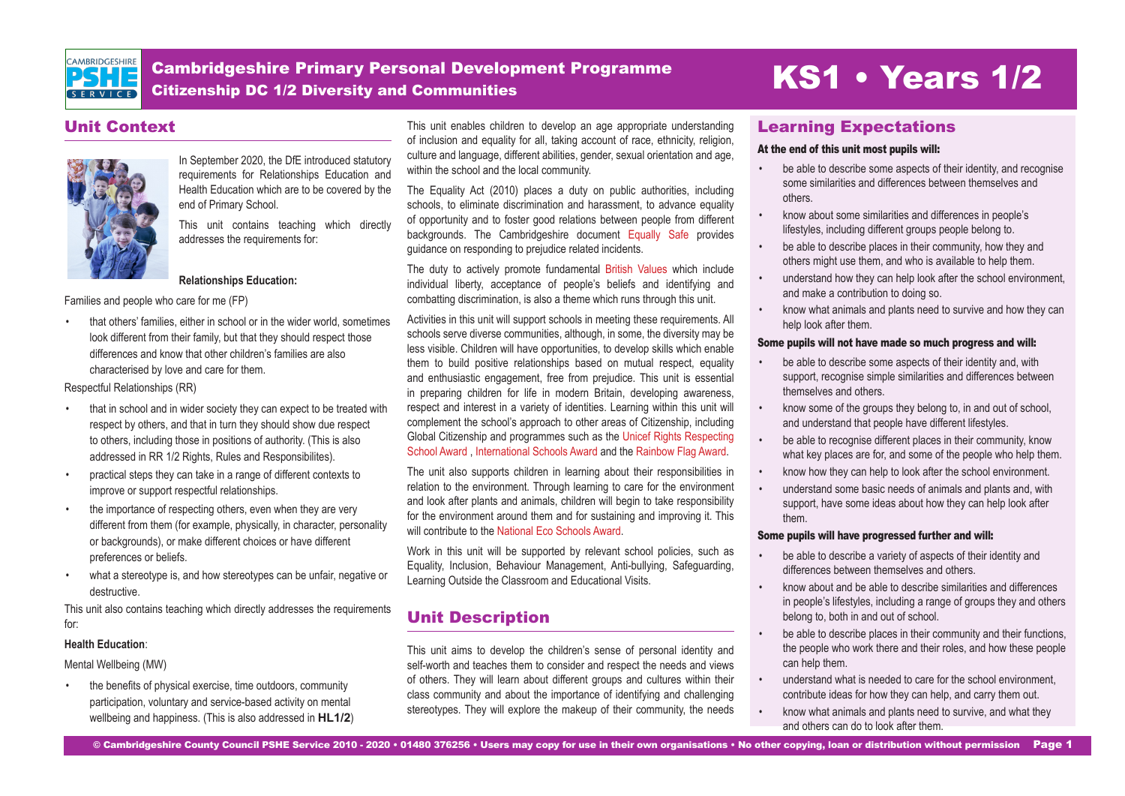

Cambridgeshire Primary Personal Development Programme Cambridgeshire Primary Personal Development Programme<br>Citizenship DC 1/2 Diversity and Communities

## Unit Context



In September 2020, the DfE introduced statutory requirements for Relationships Education and Health Education which are to be covered by the end of Primary School.

This unit contains teaching which directly addresses the requirements for:

### **Relationships Education:**

Families and people who care for me (FP)

• that others' families, either in school or in the wider world, sometimes look different from their family, but that they should respect those differences and know that other children's families are also characterised by love and care for them.

Respectful Relationships (RR)

- that in school and in wider society they can expect to be treated with respect by others, and that in turn they should show due respect to others, including those in positions of authority. (This is also addressed in RR 1/2 Rights, Rules and Responsibilites).
- practical steps they can take in a range of different contexts to improve or support respectful relationships.
- the importance of respecting others, even when they are very different from them (for example, physically, in character, personality or backgrounds), or make different choices or have different preferences or beliefs.
- what a stereotype is, and how stereotypes can be unfair, negative or destructive.

This unit also contains teaching which directly addresses the requirements for:

#### **Health Education**:

Mental Wellbeing (MW)

• the benefits of physical exercise, time outdoors, community participation, voluntary and service-based activity on mental wellbeing and happiness. (This is also addressed in **HL1/2**) This unit enables children to develop an age appropriate understanding of inclusion and equality for all, taking account of race, ethnicity, religion, culture and language, different abilities, gender, sexual orientation and age, within the school and the local community.

The Equality Act (2010) places a duty on public authorities, including schools, to eliminate discrimination and harassment, to advance equality of opportunity and to foster good relations between people from different backgrounds. The Cambridgeshire document [Equally Safe](https://equaliteach.co.uk/wp-content/uploads/2017/08/EQUALLY-SAFE-2015.pdf) provides guidance on responding to prejudice related incidents.

The duty to actively promote fundamental [British Values](https://assets.publishing.service.gov.uk/government/uploads/system/uploads/attachment_data/file/380595/SMSC_Guidance_Maintained_Schools.pdf) which include individual liberty, acceptance of people's beliefs and identifying and combatting discrimination, is also a theme which runs through this unit.

Activities in this unit will support schools in meeting these requirements. All schools serve diverse communities, although, in some, the diversity may be less visible. Children will have opportunities, to develop skills which enable them to build positive relationships based on mutual respect, equality and enthusiastic engagement, free from prejudice. This unit is essential in preparing children for life in modern Britain, developing awareness, respect and interest in a variety of identities. Learning within this unit will complement the school's approach to other areas of Citizenship, including Global Citizenship and programmes such as the [Unicef Rights Respecting](https://www.unicef.org.uk/rights-respecting-schools/) [School Award](https://www.unicef.org.uk/rights-respecting-schools/) , [International Schools Award](https://www.britishcouncil.org/school-resources/accreditation/international-school-award) and the [Rainbow Flag Award.](https://www.rainbowflagaward.co.uk/ )

The unit also supports children in learning about their responsibilities in relation to the environment. Through learning to care for the environment and look after plants and animals, children will begin to take responsibility for the environment around them and for sustaining and improving it. This will contribute to the [National Eco Schools Award.](https://www.eco-schools.org.uk/about/howitworks/the-awards/
)

Work in this unit will be supported by relevant school policies, such as Equality, Inclusion, Behaviour Management, Anti-bullying, Safeguarding, Learning Outside the Classroom and Educational Visits.

## Unit Description

This unit aims to develop the children's sense of personal identity and self-worth and teaches them to consider and respect the needs and views of others. They will learn about different groups and cultures within their class community and about the importance of identifying and challenging stereotypes. They will explore the makeup of their community, the needs

## Learning Expectations

#### At the end of this unit most pupils will:

- be able to describe some aspects of their identity, and recognise some similarities and differences between themselves and others.
- know about some similarities and differences in people's lifestyles, including different groups people belong to.
- be able to describe places in their community, how they and others might use them, and who is available to help them.
- understand how they can help look after the school environment, and make a contribution to doing so.
- know what animals and plants need to survive and how they can help look after them.

#### Some pupils will not have made so much progress and will:

- be able to describe some aspects of their identity and, with support, recognise simple similarities and differences between themselves and others.
- know some of the groups they belong to, in and out of school, and understand that people have different lifestyles.
- be able to recognise different places in their community, know what key places are for, and some of the people who help them.
- know how they can help to look after the school environment.
- understand some basic needs of animals and plants and, with support, have some ideas about how they can help look after them.

#### Some pupils will have progressed further and will:

- be able to describe a variety of aspects of their identity and differences between themselves and others.
- know about and be able to describe similarities and differences in people's lifestyles, including a range of groups they and others belong to, both in and out of school.
- be able to describe places in their community and their functions, the people who work there and their roles, and how these people can help them.
- understand what is needed to care for the school environment, contribute ideas for how they can help, and carry them out.
- know what animals and plants need to survive, and what they and others can do to look after them.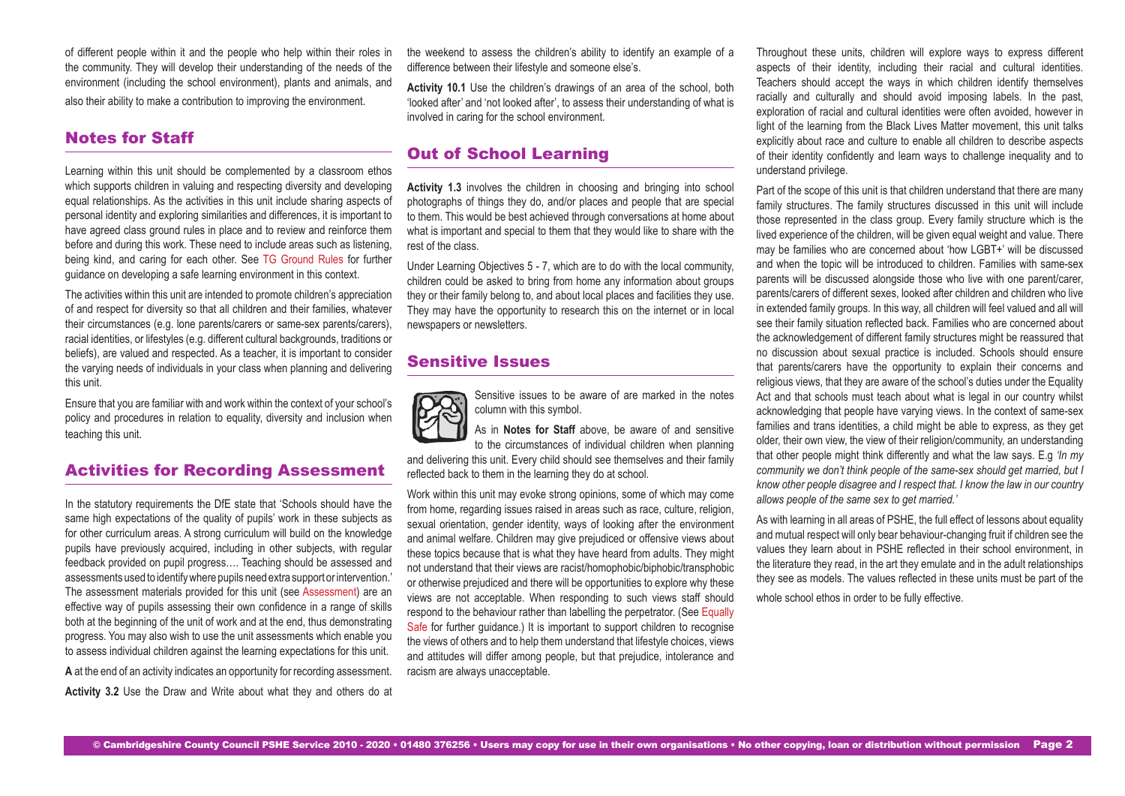of different people within it and the people who help within their roles in the community. They will develop their understanding of the needs of the environment (including the school environment), plants and animals, and also their ability to make a contribution to improving the environment.

## Notes for Staff

Learning within this unit should be complemented by a classroom ethos which supports children in valuing and respecting diversity and developing equal relationships. As the activities in this unit include sharing aspects of personal identity and exploring similarities and differences, it is important to have agreed class ground rules in place and to review and reinforce them before and during this work. These need to include areas such as listening, being kind, and caring for each other. See [TG Ground Rules](https://drive.google.com/drive/folders/1Maq8wD_UHcpeB-yfef7vJGdhbqwRADU4) for further guidance on developing a safe learning environment in this context.

The activities within this unit are intended to promote children's appreciation of and respect for diversity so that all children and their families, whatever their circumstances (e.g. lone parents/carers or same-sex parents/carers), racial identities, or lifestyles (e.g. different cultural backgrounds, traditions or beliefs), are valued and respected. As a teacher, it is important to consider the varying needs of individuals in your class when planning and delivering this unit.

Ensure that you are familiar with and work within the context of your school's policy and procedures in relation to equality, diversity and inclusion when teaching this unit.

## Activities for Recording Assessment

In the statutory requirements the DfE state that 'Schools should have the same high expectations of the quality of pupils' work in these subjects as for other curriculum areas. A strong curriculum will build on the knowledge pupils have previously acquired, including in other subjects, with regular feedback provided on pupil progress…. Teaching should be assessed and assessments used to identify where pupils need extra support or intervention.' The assessment materials provided for this unit (see [Assessment\)](https://drive.google.com/drive/folders/18aZwY5xH0oKnTWEP1Y3isoKAr1cjCjdi?usp=sharing) are an effective way of pupils assessing their own confidence in a range of skills both at the beginning of the unit of work and at the end, thus demonstrating progress. You may also wish to use the unit assessments which enable you to assess individual children against the learning expectations for this unit. **A** at the end of an activity indicates an opportunity for recording assessment. **Activity 3.2** Use the Draw and Write about what they and others do at the weekend to assess the children's ability to identify an example of a difference between their lifestyle and someone else's.

**Activity 10.1** Use the children's drawings of an area of the school, both 'looked after' and 'not looked after', to assess their understanding of what is involved in caring for the school environment.

## Out of School Learning

**Activity 1.3** involves the children in choosing and bringing into school photographs of things they do, and/or places and people that are special to them. This would be best achieved through conversations at home about what is important and special to them that they would like to share with the rest of the class.

Under Learning Objectives 5 - 7, which are to do with the local community, children could be asked to bring from home any information about groups they or their family belong to, and about local places and facilities they use. They may have the opportunity to research this on the internet or in local newspapers or newsletters.

## Sensitive Issues



Sensitive issues to be aware of are marked in the notes column with this symbol.

As in **Notes for Staff** above, be aware of and sensitive to the circumstances of individual children when planning

and delivering this unit. Every child should see themselves and their family reflected back to them in the learning they do at school.

Work within this unit may evoke strong opinions, some of which may come from home, regarding issues raised in areas such as race, culture, religion, sexual orientation, gender identity, ways of looking after the environment and animal welfare. Children may give prejudiced or offensive views about these topics because that is what they have heard from adults. They might not understand that their views are racist/homophobic/biphobic/transphobic or otherwise prejudiced and there will be opportunities to explore why these views are not acceptable. When responding to such views staff should respond to the behaviour rather than labelling the perpetrator. (See [Equally](https://equaliteach.co.uk/wp-content/uploads/2017/08/EQUALLY-SAFE-2015.pdf) [Safe](https://equaliteach.co.uk/wp-content/uploads/2017/08/EQUALLY-SAFE-2015.pdf) for further quidance.) It is important to support children to recognise the views of others and to help them understand that lifestyle choices, views and attitudes will differ among people, but that prejudice, intolerance and racism are always unacceptable.

Throughout these units, children will explore ways to express different aspects of their identity, including their racial and cultural identities. Teachers should accept the ways in which children identify themselves racially and culturally and should avoid imposing labels. In the past, exploration of racial and cultural identities were often avoided, however in light of the learning from the Black Lives Matter movement, this unit talks explicitly about race and culture to enable all children to describe aspects of their identity confidently and learn ways to challenge inequality and to understand privilege.

Part of the scope of this unit is that children understand that there are many family structures. The family structures discussed in this unit will include those represented in the class group. Every family structure which is the lived experience of the children, will be given equal weight and value. There may be families who are concerned about 'how LGBT+' will be discussed and when the topic will be introduced to children. Families with same-sex parents will be discussed alongside those who live with one parent/carer, parents/carers of different sexes, looked after children and children who live in extended family groups. In this way, all children will feel valued and all will see their family situation reflected back. Families who are concerned about the acknowledgement of different family structures might be reassured that no discussion about sexual practice is included. Schools should ensure that parents/carers have the opportunity to explain their concerns and religious views, that they are aware of the school's duties under the Equality Act and that schools must teach about what is legal in our country whilst acknowledging that people have varying views. In the context of same-sex families and trans identities, a child might be able to express, as they get older, their own view, the view of their religion/community, an understanding that other people might think differently and what the law says. E.g *'In my community we don't think people of the same-sex should get married, but I know other people disagree and I respect that. I know the law in our country allows people of the same sex to get married.'*

As with learning in all areas of PSHE, the full effect of lessons about equality and mutual respect will only bear behaviour-changing fruit if children see the values they learn about in PSHE reflected in their school environment, in the literature they read, in the art they emulate and in the adult relationships they see as models. The values reflected in these units must be part of the

whole school ethos in order to be fully effective.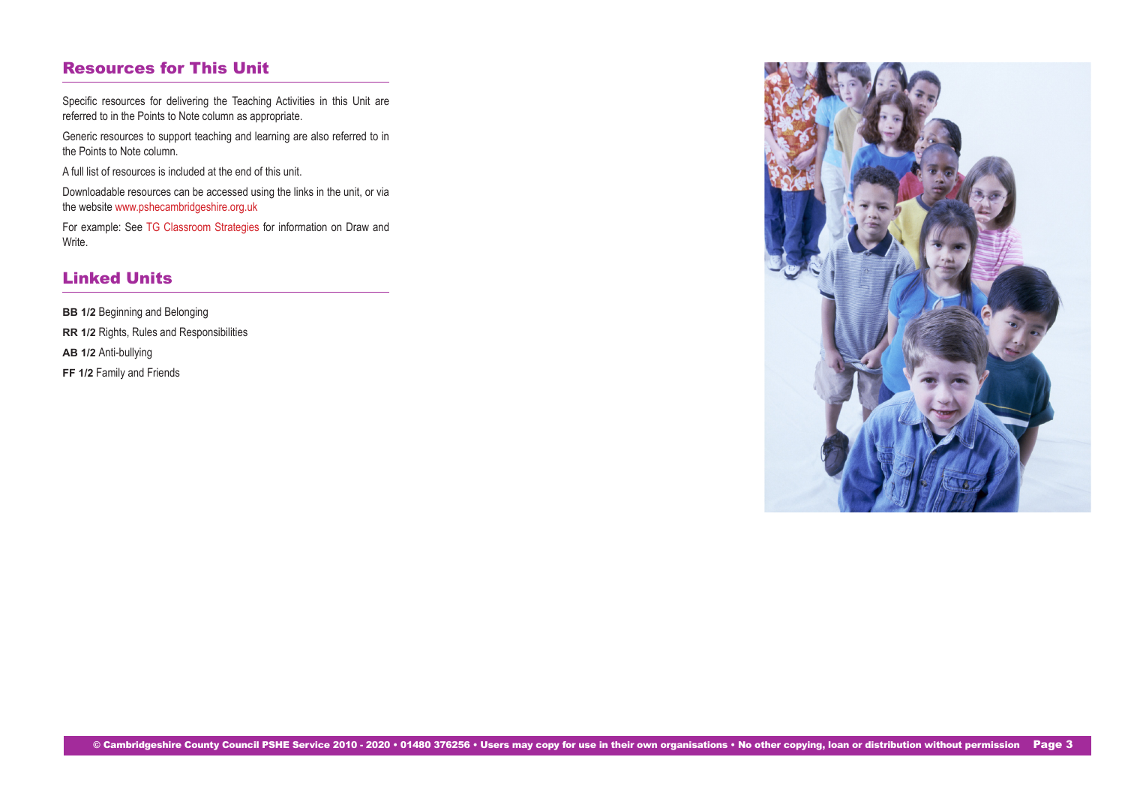## Resources for This Unit

Specific resources for delivering the Teaching Activities in this Unit are referred to in the Points to Note column as appropriate.

Generic resources to support teaching and learning are also referred to in the Points to Note column.

A full list of resources is included at the end of this unit.

Downloadable resources can be accessed using the links in the unit, or via the website<www.pshecambridgeshire.org.uk>

For example: See [TG Classroom Strategies](https://drive.google.com/drive/folders/1Maq8wD_UHcpeB-yfef7vJGdhbqwRADU4) for information on Draw and Write.

## Linked Units

**BB 1/2** Beginning and Belonging **RR 1/2** Rights, Rules and Responsibilities **AB 1/2** Anti-bullying **FF 1/2 Family and Friends** 

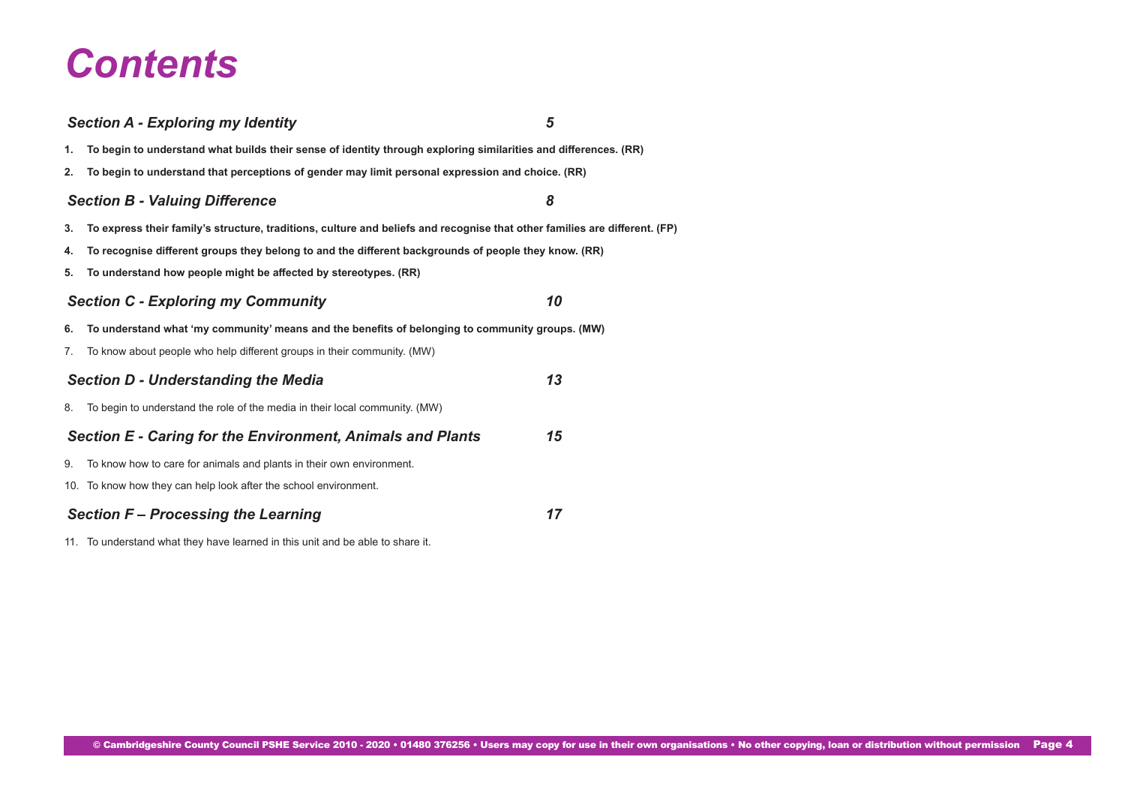# *Contents*

## *[Section A - Exploring my Identity](#page-4-0) 5* **1. [To begin to understand what builds their sense of identity through exploring similarities and differences. \(RR\)](#page-4-0) 2. [To begin to understand that perceptions of gender may limit personal expression and choice. \(RR\)](#page-5-0)** *[Section B - Valuing Difference](#page-7-0) 8* **3. [To express their family's structure, traditions, culture and beliefs and recognise that other families are different. \(FP\)](#page-7-0) 4. [To recognise different groups they belong to and the different backgrounds of people they know. \(RR\)](#page-7-0) 5. [To understand how people might be affected by stereotypes. \(RR\)](#page-8-0)** *[Section C - Exploring my Community 10](#page-9-0)* **6. [To understand what 'my community' means and the benefits of belonging to community groups. \(MW\)](#page-9-0)** 7. [To know about people who help different groups in their community. \(MW\)](#page-10-0) *[Section D - Understanding the Media 13](#page-12-0)* 8. [To begin to understand the role of the media in their local community. \(MW\)](#page-12-0) *[Section E - Caring for the Environment, Animals and Plants 15](#page-13-0)* 9. [To know how to care for animals and plants in their own environment.](#page-13-0) 10. [To know how they can help look after the school environment.](#page-14-0) *[Section F – Processing the Learning 17](#page-16-0)*

11. [To understand what they have learned in this unit and be able to share it.](#page-16-0)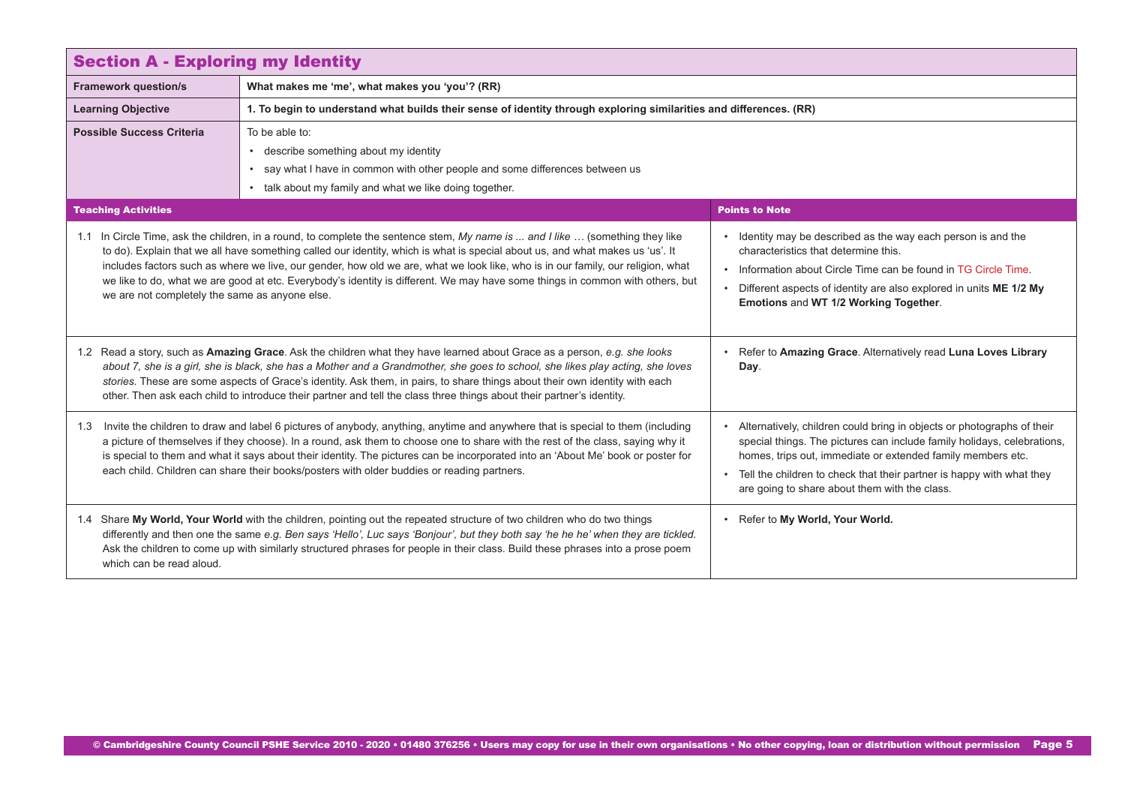<span id="page-4-0"></span>

| <b>Section A - Exploring my Identity</b>                                                                                                                                                                                                                                                                                                                                                                                                                                                                                                                                             |                                                                                                                                                                                                                                                                                                                                                                                               |                                                                                                                                                                                                                                                                                                                                              |
|--------------------------------------------------------------------------------------------------------------------------------------------------------------------------------------------------------------------------------------------------------------------------------------------------------------------------------------------------------------------------------------------------------------------------------------------------------------------------------------------------------------------------------------------------------------------------------------|-----------------------------------------------------------------------------------------------------------------------------------------------------------------------------------------------------------------------------------------------------------------------------------------------------------------------------------------------------------------------------------------------|----------------------------------------------------------------------------------------------------------------------------------------------------------------------------------------------------------------------------------------------------------------------------------------------------------------------------------------------|
| <b>Framework question/s</b>                                                                                                                                                                                                                                                                                                                                                                                                                                                                                                                                                          | What makes me 'me', what makes you 'you'? (RR)                                                                                                                                                                                                                                                                                                                                                |                                                                                                                                                                                                                                                                                                                                              |
| <b>Learning Objective</b>                                                                                                                                                                                                                                                                                                                                                                                                                                                                                                                                                            | 1. To begin to understand what builds their sense of identity through exploring similarities and differences. (RR)                                                                                                                                                                                                                                                                            |                                                                                                                                                                                                                                                                                                                                              |
| <b>Possible Success Criteria</b>                                                                                                                                                                                                                                                                                                                                                                                                                                                                                                                                                     | To be able to:<br>• describe something about my identity<br>say what I have in common with other people and some differences between us<br>• talk about my family and what we like doing together.                                                                                                                                                                                            |                                                                                                                                                                                                                                                                                                                                              |
| <b>Teaching Activities</b>                                                                                                                                                                                                                                                                                                                                                                                                                                                                                                                                                           |                                                                                                                                                                                                                                                                                                                                                                                               | <b>Points to Note</b>                                                                                                                                                                                                                                                                                                                        |
| 1.1 In Circle Time, ask the children, in a round, to complete the sentence stem, My name is  and I like  (something they like<br>to do). Explain that we all have something called our identity, which is what is special about us, and what makes us 'us'. It<br>includes factors such as where we live, our gender, how old we are, what we look like, who is in our family, our religion, what<br>we like to do, what we are good at etc. Everybody's identity is different. We may have some things in common with others, but<br>we are not completely the same as anyone else. |                                                                                                                                                                                                                                                                                                                                                                                               | • Identity may be described as the way each person is and the<br>characteristics that determine this.<br>. Information about Circle Time can be found in TG Circle Time.<br>Different aspects of identity are also explored in units ME 1/2 My<br>Emotions and WT 1/2 Working Together.                                                      |
| 1.2 Read a story, such as Amazing Grace. Ask the children what they have learned about Grace as a person, e.g. she looks<br>about 7, she is a girl, she is black, she has a Mother and a Grandmother, she goes to school, she likes play acting, she loves<br>stories. These are some aspects of Grace's identity. Ask them, in pairs, to share things about their own identity with each<br>other. Then ask each child to introduce their partner and tell the class three things about their partner's identity.                                                                   |                                                                                                                                                                                                                                                                                                                                                                                               | • Refer to Amazing Grace. Alternatively read Luna Loves Library<br>Day.                                                                                                                                                                                                                                                                      |
| Invite the children to draw and label 6 pictures of anybody, anything, anytime and anywhere that is special to them (including<br>1.3<br>a picture of themselves if they choose). In a round, ask them to choose one to share with the rest of the class, saying why it<br>is special to them and what it says about their identity. The pictures can be incorporated into an 'About Me' book or poster for<br>each child. Children can share their books/posters with older buddies or reading partners.                                                                            |                                                                                                                                                                                                                                                                                                                                                                                               | Alternatively, children could bring in objects or photographs of their<br>special things. The pictures can include family holidays, celebrations,<br>homes, trips out, immediate or extended family members etc.<br>• Tell the children to check that their partner is happy with what they<br>are going to share about them with the class. |
| which can be read aloud.                                                                                                                                                                                                                                                                                                                                                                                                                                                                                                                                                             | 1.4 Share My World, Your World with the children, pointing out the repeated structure of two children who do two things<br>differently and then one the same e.g. Ben says 'Hello', Luc says 'Bonjour', but they both say 'he he he' when they are tickled.<br>Ask the children to come up with similarly structured phrases for people in their class. Build these phrases into a prose poem | • Refer to My World, Your World.                                                                                                                                                                                                                                                                                                             |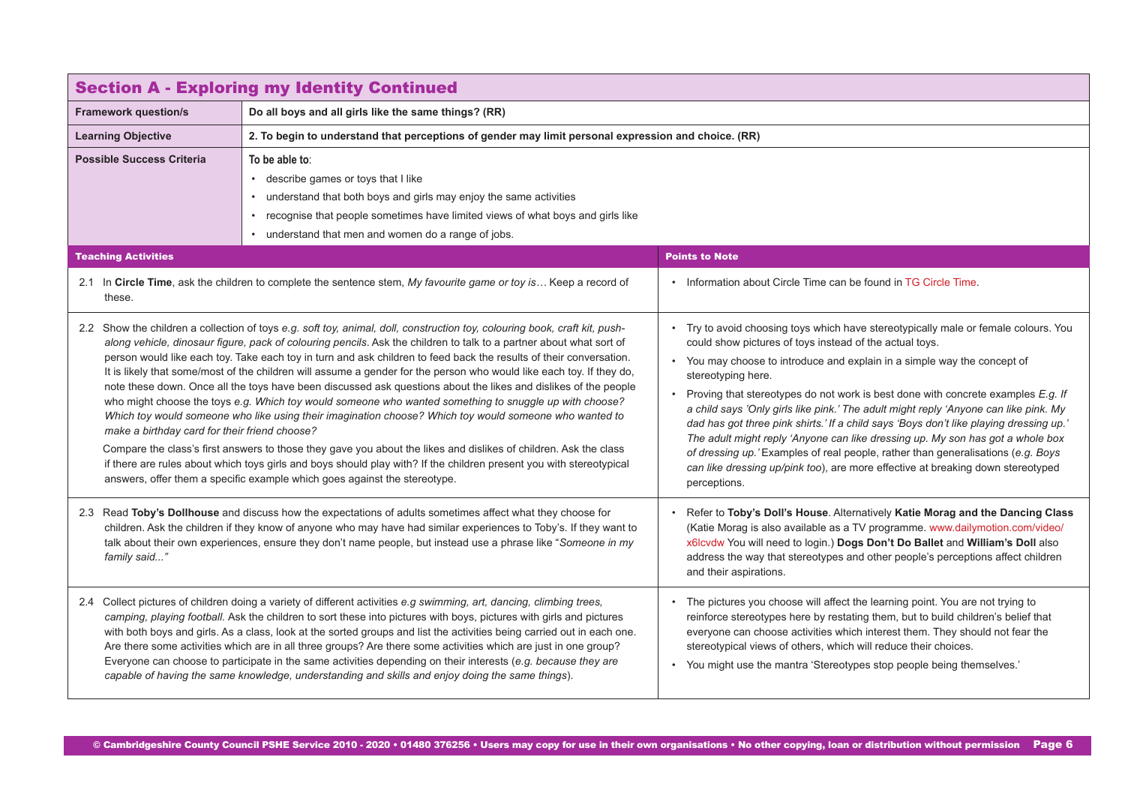<span id="page-5-0"></span>

| <b>Section A - Exploring my Identity Continued</b>                                                                                                                                                                                                                                                                                                               |                                                                                                                                                                                                                                                                                                                                                                                                                                                                                                                                                                                                                                                                                                                                                                                                                                                                                                                                                                                                                                                                                                                                                                |                                                                                                                                                                                                                                                                                                                                                                                                                                                                                                                                                                                                                                                                                                                                                                                                            |
|------------------------------------------------------------------------------------------------------------------------------------------------------------------------------------------------------------------------------------------------------------------------------------------------------------------------------------------------------------------|----------------------------------------------------------------------------------------------------------------------------------------------------------------------------------------------------------------------------------------------------------------------------------------------------------------------------------------------------------------------------------------------------------------------------------------------------------------------------------------------------------------------------------------------------------------------------------------------------------------------------------------------------------------------------------------------------------------------------------------------------------------------------------------------------------------------------------------------------------------------------------------------------------------------------------------------------------------------------------------------------------------------------------------------------------------------------------------------------------------------------------------------------------------|------------------------------------------------------------------------------------------------------------------------------------------------------------------------------------------------------------------------------------------------------------------------------------------------------------------------------------------------------------------------------------------------------------------------------------------------------------------------------------------------------------------------------------------------------------------------------------------------------------------------------------------------------------------------------------------------------------------------------------------------------------------------------------------------------------|
| <b>Framework question/s</b>                                                                                                                                                                                                                                                                                                                                      | Do all boys and all girls like the same things? (RR)                                                                                                                                                                                                                                                                                                                                                                                                                                                                                                                                                                                                                                                                                                                                                                                                                                                                                                                                                                                                                                                                                                           |                                                                                                                                                                                                                                                                                                                                                                                                                                                                                                                                                                                                                                                                                                                                                                                                            |
| <b>Learning Objective</b>                                                                                                                                                                                                                                                                                                                                        | 2. To begin to understand that perceptions of gender may limit personal expression and choice. (RR)                                                                                                                                                                                                                                                                                                                                                                                                                                                                                                                                                                                                                                                                                                                                                                                                                                                                                                                                                                                                                                                            |                                                                                                                                                                                                                                                                                                                                                                                                                                                                                                                                                                                                                                                                                                                                                                                                            |
| <b>Possible Success Criteria</b>                                                                                                                                                                                                                                                                                                                                 | To be able to:<br>• describe games or toys that I like<br>• understand that both boys and girls may enjoy the same activities<br>• recognise that people sometimes have limited views of what boys and girls like<br>• understand that men and women do a range of jobs.                                                                                                                                                                                                                                                                                                                                                                                                                                                                                                                                                                                                                                                                                                                                                                                                                                                                                       |                                                                                                                                                                                                                                                                                                                                                                                                                                                                                                                                                                                                                                                                                                                                                                                                            |
| <b>Teaching Activities</b>                                                                                                                                                                                                                                                                                                                                       |                                                                                                                                                                                                                                                                                                                                                                                                                                                                                                                                                                                                                                                                                                                                                                                                                                                                                                                                                                                                                                                                                                                                                                | <b>Points to Note</b>                                                                                                                                                                                                                                                                                                                                                                                                                                                                                                                                                                                                                                                                                                                                                                                      |
| these.                                                                                                                                                                                                                                                                                                                                                           | 2.1 In Circle Time, ask the children to complete the sentence stem, My favourite game or toy is Keep a record of                                                                                                                                                                                                                                                                                                                                                                                                                                                                                                                                                                                                                                                                                                                                                                                                                                                                                                                                                                                                                                               | • Information about Circle Time can be found in TG Circle Time.                                                                                                                                                                                                                                                                                                                                                                                                                                                                                                                                                                                                                                                                                                                                            |
| make a birthday card for their friend choose?                                                                                                                                                                                                                                                                                                                    | 2.2 Show the children a collection of toys e.g. soft toy, animal, doll, construction toy, colouring book, craft kit, push-<br>along vehicle, dinosaur figure, pack of colouring pencils. Ask the children to talk to a partner about what sort of<br>person would like each toy. Take each toy in turn and ask children to feed back the results of their conversation.<br>It is likely that some/most of the children will assume a gender for the person who would like each toy. If they do,<br>note these down. Once all the toys have been discussed ask questions about the likes and dislikes of the people<br>who might choose the toys e.g. Which toy would someone who wanted something to snuggle up with choose?<br>Which toy would someone who like using their imagination choose? Which toy would someone who wanted to<br>Compare the class's first answers to those they gave you about the likes and dislikes of children. Ask the class<br>if there are rules about which toys girls and boys should play with? If the children present you with stereotypical<br>answers, offer them a specific example which goes against the stereotype. | Try to avoid choosing toys which have stereotypically male or female colours. You<br>could show pictures of toys instead of the actual toys.<br>• You may choose to introduce and explain in a simple way the concept of<br>stereotyping here.<br>Proving that stereotypes do not work is best done with concrete examples E.g. If<br>$\bullet$<br>a child says 'Only girls like pink.' The adult might reply 'Anyone can like pink. My<br>dad has got three pink shirts.' If a child says 'Boys don't like playing dressing up.'<br>The adult might reply 'Anyone can like dressing up. My son has got a whole box<br>of dressing up.' Examples of real people, rather than generalisations (e.g. Boys<br>can like dressing up/pink too), are more effective at breaking down stereotyped<br>perceptions. |
| 2.3 Read Toby's Dollhouse and discuss how the expectations of adults sometimes affect what they choose for<br>children. Ask the children if they know of anyone who may have had similar experiences to Toby's. If they want to<br>talk about their own experiences, ensure they don't name people, but instead use a phrase like "Someone in my<br>family said" |                                                                                                                                                                                                                                                                                                                                                                                                                                                                                                                                                                                                                                                                                                                                                                                                                                                                                                                                                                                                                                                                                                                                                                | Refer to Toby's Doll's House. Alternatively Katie Morag and the Dancing Class<br>(Katie Morag is also available as a TV programme. www.dailymotion.com/video/<br>x6lcvdw You will need to login.) Dogs Don't Do Ballet and William's Doll also<br>address the way that stereotypes and other people's perceptions affect children<br>and their aspirations.                                                                                                                                                                                                                                                                                                                                                                                                                                                |
|                                                                                                                                                                                                                                                                                                                                                                  | 2.4 Collect pictures of children doing a variety of different activities e.g swimming, art, dancing, climbing trees,<br>camping, playing football. Ask the children to sort these into pictures with boys, pictures with girls and pictures<br>with both boys and girls. As a class, look at the sorted groups and list the activities being carried out in each one.<br>Are there some activities which are in all three groups? Are there some activities which are just in one group?<br>Everyone can choose to participate in the same activities depending on their interests (e.g. because they are<br>capable of having the same knowledge, understanding and skills and enjoy doing the same things).                                                                                                                                                                                                                                                                                                                                                                                                                                                  | The pictures you choose will affect the learning point. You are not trying to<br>reinforce stereotypes here by restating them, but to build children's belief that<br>everyone can choose activities which interest them. They should not fear the<br>stereotypical views of others, which will reduce their choices.<br>• You might use the mantra 'Stereotypes stop people being themselves.'                                                                                                                                                                                                                                                                                                                                                                                                            |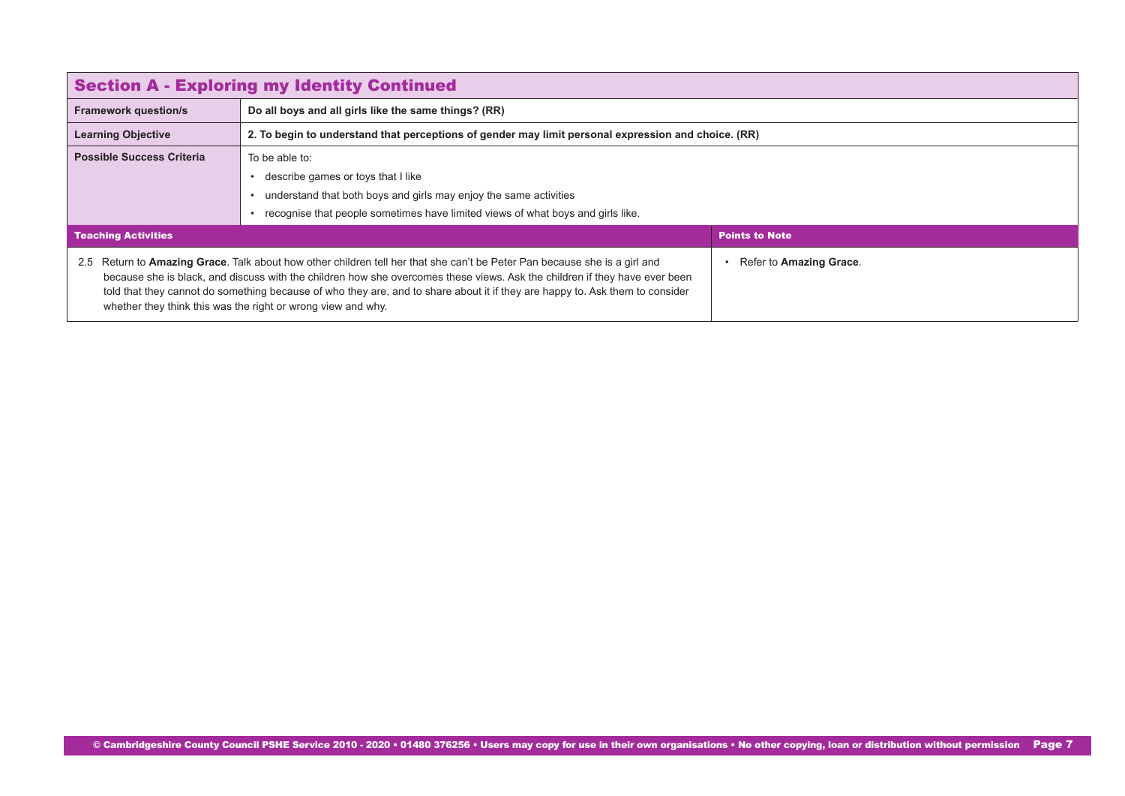| <b>Section A - Exploring my Identity Continued</b>                                                                                                                                                                                                                                                                                                                                                                                                         |                                                                                                                                                                                                              |                         |
|------------------------------------------------------------------------------------------------------------------------------------------------------------------------------------------------------------------------------------------------------------------------------------------------------------------------------------------------------------------------------------------------------------------------------------------------------------|--------------------------------------------------------------------------------------------------------------------------------------------------------------------------------------------------------------|-------------------------|
| <b>Framework question/s</b>                                                                                                                                                                                                                                                                                                                                                                                                                                | Do all boys and all girls like the same things? (RR)                                                                                                                                                         |                         |
| <b>Learning Objective</b>                                                                                                                                                                                                                                                                                                                                                                                                                                  | 2. To begin to understand that perceptions of gender may limit personal expression and choice. (RR)                                                                                                          |                         |
| <b>Possible Success Criteria</b>                                                                                                                                                                                                                                                                                                                                                                                                                           | To be able to:<br>describe games or toys that I like<br>understand that both boys and girls may enjoy the same activities<br>recognise that people sometimes have limited views of what boys and girls like. |                         |
| <b>Teaching Activities</b><br><b>Points to Note</b>                                                                                                                                                                                                                                                                                                                                                                                                        |                                                                                                                                                                                                              |                         |
| Return to Amazing Grace. Talk about how other children tell her that she can't be Peter Pan because she is a girl and<br>2.5<br>because she is black, and discuss with the children how she overcomes these views. Ask the children if they have ever been<br>told that they cannot do something because of who they are, and to share about it if they are happy to. Ask them to consider<br>whether they think this was the right or wrong view and why. |                                                                                                                                                                                                              | Refer to Amazing Grace. |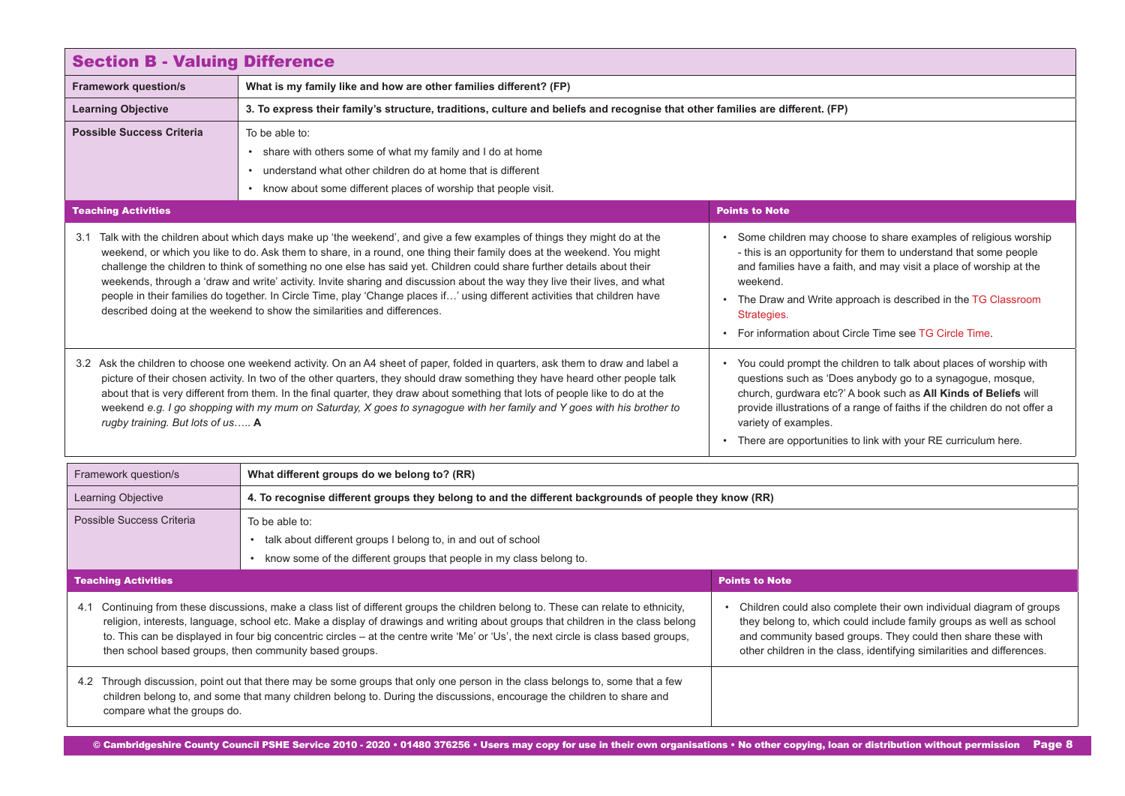<span id="page-7-0"></span>

| <b>Section B - Valuing Difference</b>                                                                                                                                                                                                                                                                                                                                                                                                                                                                                                                                                                                                                                                                                                                                                                        |                                                                                                                                                                                                                    |                                                                                                                                                                                                                                                                                                                                                                             |
|--------------------------------------------------------------------------------------------------------------------------------------------------------------------------------------------------------------------------------------------------------------------------------------------------------------------------------------------------------------------------------------------------------------------------------------------------------------------------------------------------------------------------------------------------------------------------------------------------------------------------------------------------------------------------------------------------------------------------------------------------------------------------------------------------------------|--------------------------------------------------------------------------------------------------------------------------------------------------------------------------------------------------------------------|-----------------------------------------------------------------------------------------------------------------------------------------------------------------------------------------------------------------------------------------------------------------------------------------------------------------------------------------------------------------------------|
| <b>Framework question/s</b>                                                                                                                                                                                                                                                                                                                                                                                                                                                                                                                                                                                                                                                                                                                                                                                  | What is my family like and how are other families different? (FP)                                                                                                                                                  |                                                                                                                                                                                                                                                                                                                                                                             |
| <b>Learning Objective</b>                                                                                                                                                                                                                                                                                                                                                                                                                                                                                                                                                                                                                                                                                                                                                                                    | 3. To express their family's structure, traditions, culture and beliefs and recognise that other families are different. (FP)                                                                                      |                                                                                                                                                                                                                                                                                                                                                                             |
| <b>Possible Success Criteria</b>                                                                                                                                                                                                                                                                                                                                                                                                                                                                                                                                                                                                                                                                                                                                                                             | To be able to:<br>• share with others some of what my family and I do at home<br>• understand what other children do at home that is different<br>• know about some different places of worship that people visit. |                                                                                                                                                                                                                                                                                                                                                                             |
| <b>Teaching Activities</b>                                                                                                                                                                                                                                                                                                                                                                                                                                                                                                                                                                                                                                                                                                                                                                                   |                                                                                                                                                                                                                    | <b>Points to Note</b>                                                                                                                                                                                                                                                                                                                                                       |
| 3.1 Talk with the children about which days make up 'the weekend', and give a few examples of things they might do at the<br>weekend, or which you like to do. Ask them to share, in a round, one thing their family does at the weekend. You might<br>challenge the children to think of something no one else has said yet. Children could share further details about their<br>weekends, through a 'draw and write' activity. Invite sharing and discussion about the way they live their lives, and what<br>weekend.<br>people in their families do together. In Circle Time, play 'Change places if' using different activities that children have<br>described doing at the weekend to show the similarities and differences.<br>Strategies.<br>• For information about Circle Time see TG Circle Time |                                                                                                                                                                                                                    | • Some children may choose to share examples of religious worship<br>- this is an opportunity for them to understand that some people<br>and families have a faith, and may visit a place of worship at the<br>• The Draw and Write approach is described in the TG Classroom                                                                                               |
| 3.2 Ask the children to choose one weekend activity. On an A4 sheet of paper, folded in quarters, ask them to draw and label a<br>picture of their chosen activity. In two of the other quarters, they should draw something they have heard other people talk<br>about that is very different from them. In the final quarter, they draw about something that lots of people like to do at the<br>weekend e.g. I go shopping with my mum on Saturday, X goes to synagogue with her family and Y goes with his brother to<br>rugby training. But lots of us A                                                                                                                                                                                                                                                |                                                                                                                                                                                                                    | • You could prompt the children to talk about places of worship with<br>questions such as 'Does anybody go to a synagogue, mosque,<br>church, gurdwara etc?' A book such as All Kinds of Beliefs will<br>provide illustrations of a range of faiths if the children do not offer a<br>variety of examples.<br>There are opportunities to link with your RE curriculum here. |
| Framework question/s                                                                                                                                                                                                                                                                                                                                                                                                                                                                                                                                                                                                                                                                                                                                                                                         | What different groups do we belong to? (RR)                                                                                                                                                                        |                                                                                                                                                                                                                                                                                                                                                                             |
| <b>Learning Objective</b>                                                                                                                                                                                                                                                                                                                                                                                                                                                                                                                                                                                                                                                                                                                                                                                    | 4. To recognise different groups they belong to and the different backgrounds of people they know (RR)                                                                                                             |                                                                                                                                                                                                                                                                                                                                                                             |
| Possible Success Criteria                                                                                                                                                                                                                                                                                                                                                                                                                                                                                                                                                                                                                                                                                                                                                                                    | To be able to:<br>• talk about different groups I belong to, in and out of school<br>• know some of the different groups that people in my class belong to.                                                        |                                                                                                                                                                                                                                                                                                                                                                             |
| <b>Teaching Activities</b>                                                                                                                                                                                                                                                                                                                                                                                                                                                                                                                                                                                                                                                                                                                                                                                   |                                                                                                                                                                                                                    | <b>Points to Note</b>                                                                                                                                                                                                                                                                                                                                                       |
| 4.1 Continuing from these discussions, make a class list of different groups the children belong to. These can relate to ethnicity,<br>religion, interests, language, school etc. Make a display of drawings and writing about groups that children in the class belong<br>to. This can be displayed in four big concentric circles - at the centre write 'Me' or 'Us', the next circle is class based groups,<br>then school based groups, then community based groups.                                                                                                                                                                                                                                                                                                                                     |                                                                                                                                                                                                                    | • Children could also complete their own individual diagram of groups<br>they belong to, which could include family groups as well as school<br>and community based groups. They could then share these with<br>other children in the class, identifying similarities and differences.                                                                                      |
| 4.2 Through discussion, point out that there may be some groups that only one person in the class belongs to, some that a few<br>children belong to, and some that many children belong to. During the discussions, encourage the children to share and<br>compare what the groups do.                                                                                                                                                                                                                                                                                                                                                                                                                                                                                                                       |                                                                                                                                                                                                                    |                                                                                                                                                                                                                                                                                                                                                                             |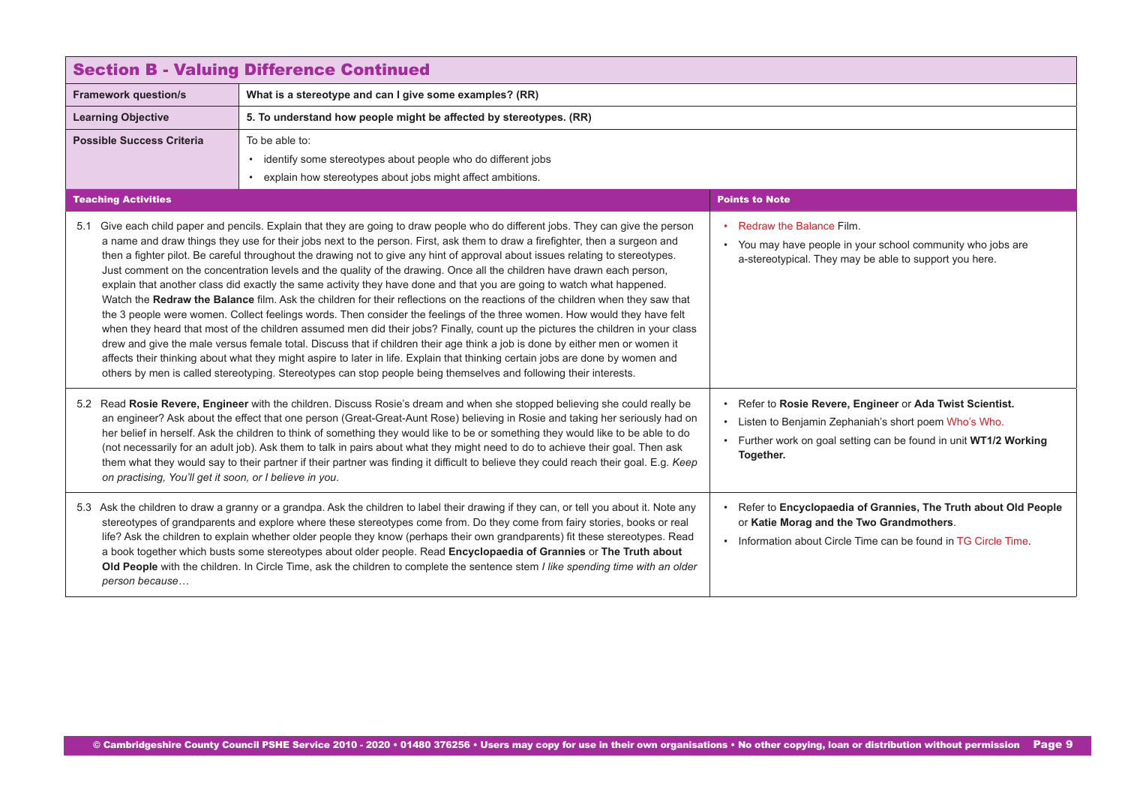<span id="page-8-0"></span>

| <b>Section B - Valuing Difference Continued</b>                                                                                                                                                                                                                                                                                                                                                                                                                                                                                                                                                                                                                                                                                        |                                                                                                                                                                                                                                                                                                                                                                                                                                                                                                                                                                                                                                                                                                                                                                                                                                                                                                                                                                                                                                                                                                                                                                                                                                                                                                                                                                                                                                                |                                                                                                                                                                                                       |
|----------------------------------------------------------------------------------------------------------------------------------------------------------------------------------------------------------------------------------------------------------------------------------------------------------------------------------------------------------------------------------------------------------------------------------------------------------------------------------------------------------------------------------------------------------------------------------------------------------------------------------------------------------------------------------------------------------------------------------------|------------------------------------------------------------------------------------------------------------------------------------------------------------------------------------------------------------------------------------------------------------------------------------------------------------------------------------------------------------------------------------------------------------------------------------------------------------------------------------------------------------------------------------------------------------------------------------------------------------------------------------------------------------------------------------------------------------------------------------------------------------------------------------------------------------------------------------------------------------------------------------------------------------------------------------------------------------------------------------------------------------------------------------------------------------------------------------------------------------------------------------------------------------------------------------------------------------------------------------------------------------------------------------------------------------------------------------------------------------------------------------------------------------------------------------------------|-------------------------------------------------------------------------------------------------------------------------------------------------------------------------------------------------------|
| <b>Framework question/s</b>                                                                                                                                                                                                                                                                                                                                                                                                                                                                                                                                                                                                                                                                                                            | What is a stereotype and can I give some examples? (RR)                                                                                                                                                                                                                                                                                                                                                                                                                                                                                                                                                                                                                                                                                                                                                                                                                                                                                                                                                                                                                                                                                                                                                                                                                                                                                                                                                                                        |                                                                                                                                                                                                       |
| <b>Learning Objective</b>                                                                                                                                                                                                                                                                                                                                                                                                                                                                                                                                                                                                                                                                                                              | 5. To understand how people might be affected by stereotypes. (RR)                                                                                                                                                                                                                                                                                                                                                                                                                                                                                                                                                                                                                                                                                                                                                                                                                                                                                                                                                                                                                                                                                                                                                                                                                                                                                                                                                                             |                                                                                                                                                                                                       |
| <b>Possible Success Criteria</b>                                                                                                                                                                                                                                                                                                                                                                                                                                                                                                                                                                                                                                                                                                       | To be able to:<br>• identify some stereotypes about people who do different jobs<br>• explain how stereotypes about jobs might affect ambitions.                                                                                                                                                                                                                                                                                                                                                                                                                                                                                                                                                                                                                                                                                                                                                                                                                                                                                                                                                                                                                                                                                                                                                                                                                                                                                               |                                                                                                                                                                                                       |
| <b>Teaching Activities</b>                                                                                                                                                                                                                                                                                                                                                                                                                                                                                                                                                                                                                                                                                                             |                                                                                                                                                                                                                                                                                                                                                                                                                                                                                                                                                                                                                                                                                                                                                                                                                                                                                                                                                                                                                                                                                                                                                                                                                                                                                                                                                                                                                                                | <b>Points to Note</b>                                                                                                                                                                                 |
|                                                                                                                                                                                                                                                                                                                                                                                                                                                                                                                                                                                                                                                                                                                                        | 5.1 Give each child paper and pencils. Explain that they are going to draw people who do different jobs. They can give the person<br>a name and draw things they use for their jobs next to the person. First, ask them to draw a firefighter, then a surgeon and<br>then a fighter pilot. Be careful throughout the drawing not to give any hint of approval about issues relating to stereotypes.<br>Just comment on the concentration levels and the quality of the drawing. Once all the children have drawn each person,<br>explain that another class did exactly the same activity they have done and that you are going to watch what happened.<br>Watch the Redraw the Balance film. Ask the children for their reflections on the reactions of the children when they saw that<br>the 3 people were women. Collect feelings words. Then consider the feelings of the three women. How would they have felt<br>when they heard that most of the children assumed men did their jobs? Finally, count up the pictures the children in your class<br>drew and give the male versus female total. Discuss that if children their age think a job is done by either men or women it<br>affects their thinking about what they might aspire to later in life. Explain that thinking certain jobs are done by women and<br>others by men is called stereotyping. Stereotypes can stop people being themselves and following their interests. | • Redraw the Balance Film.<br>• You may have people in your school community who jobs are<br>a-stereotypical. They may be able to support you here.                                                   |
| 5.2 Read Rosie Revere, Engineer with the children. Discuss Rosie's dream and when she stopped believing she could really be<br>an engineer? Ask about the effect that one person (Great-Great-Aunt Rose) believing in Rosie and taking her seriously had on<br>her belief in herself. Ask the children to think of something they would like to be or something they would like to be able to do<br>(not necessarily for an adult job). Ask them to talk in pairs about what they might need to do to achieve their goal. Then ask<br>them what they would say to their partner if their partner was finding it difficult to believe they could reach their goal. E.g. Keep<br>on practising, You'll get it soon, or I believe in you. |                                                                                                                                                                                                                                                                                                                                                                                                                                                                                                                                                                                                                                                                                                                                                                                                                                                                                                                                                                                                                                                                                                                                                                                                                                                                                                                                                                                                                                                | • Refer to Rosie Revere, Engineer or Ada Twist Scientist.<br>• Listen to Benjamin Zephaniah's short poem Who's Who.<br>• Further work on goal setting can be found in unit WT1/2 Working<br>Together. |
| person because                                                                                                                                                                                                                                                                                                                                                                                                                                                                                                                                                                                                                                                                                                                         | 5.3 Ask the children to draw a granny or a grandpa. Ask the children to label their drawing if they can, or tell you about it. Note any<br>stereotypes of grandparents and explore where these stereotypes come from. Do they come from fairy stories, books or real<br>life? Ask the children to explain whether older people they know (perhaps their own grandparents) fit these stereotypes. Read<br>a book together which busts some stereotypes about older people. Read Encyclopaedia of Grannies or The Truth about<br>Old People with the children. In Circle Time, ask the children to complete the sentence stem I like spending time with an older                                                                                                                                                                                                                                                                                                                                                                                                                                                                                                                                                                                                                                                                                                                                                                                 | • Refer to Encyclopaedia of Grannies, The Truth about Old People<br>or Katie Morag and the Two Grandmothers.<br>. Information about Circle Time can be found in TG Circle Time.                       |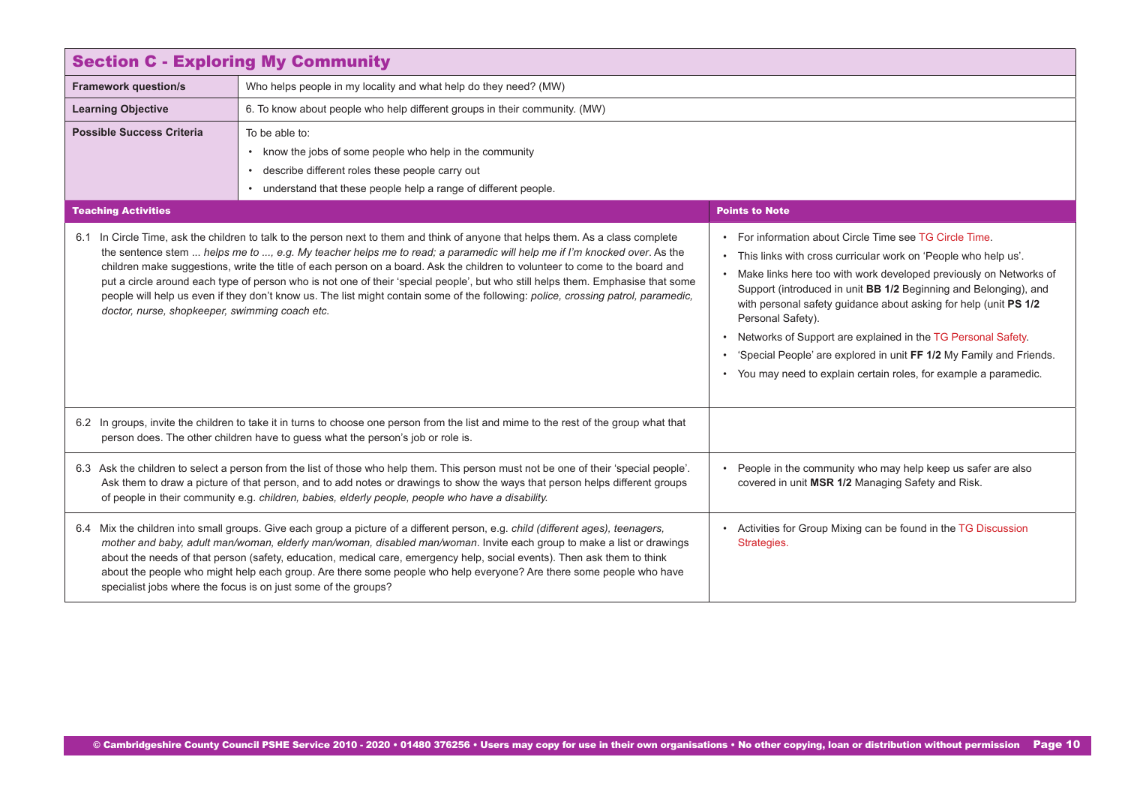<span id="page-9-0"></span>

|                                                                                                                                                                                                                                                                                                                                                                                                                               | <b>Section C - Exploring My Community</b>                                                                                                                                                                                                                                                                                                                                                                                                                                                                                                                                                                                                                           |                                                                                                                                                                                                                                                                                                                                                                                                                                                                                                                                                                                 |  |
|-------------------------------------------------------------------------------------------------------------------------------------------------------------------------------------------------------------------------------------------------------------------------------------------------------------------------------------------------------------------------------------------------------------------------------|---------------------------------------------------------------------------------------------------------------------------------------------------------------------------------------------------------------------------------------------------------------------------------------------------------------------------------------------------------------------------------------------------------------------------------------------------------------------------------------------------------------------------------------------------------------------------------------------------------------------------------------------------------------------|---------------------------------------------------------------------------------------------------------------------------------------------------------------------------------------------------------------------------------------------------------------------------------------------------------------------------------------------------------------------------------------------------------------------------------------------------------------------------------------------------------------------------------------------------------------------------------|--|
| <b>Framework question/s</b>                                                                                                                                                                                                                                                                                                                                                                                                   | Who helps people in my locality and what help do they need? (MW)                                                                                                                                                                                                                                                                                                                                                                                                                                                                                                                                                                                                    |                                                                                                                                                                                                                                                                                                                                                                                                                                                                                                                                                                                 |  |
| <b>Learning Objective</b>                                                                                                                                                                                                                                                                                                                                                                                                     | 6. To know about people who help different groups in their community. (MW)                                                                                                                                                                                                                                                                                                                                                                                                                                                                                                                                                                                          |                                                                                                                                                                                                                                                                                                                                                                                                                                                                                                                                                                                 |  |
| <b>Possible Success Criteria</b>                                                                                                                                                                                                                                                                                                                                                                                              | To be able to:                                                                                                                                                                                                                                                                                                                                                                                                                                                                                                                                                                                                                                                      |                                                                                                                                                                                                                                                                                                                                                                                                                                                                                                                                                                                 |  |
|                                                                                                                                                                                                                                                                                                                                                                                                                               | • know the jobs of some people who help in the community                                                                                                                                                                                                                                                                                                                                                                                                                                                                                                                                                                                                            |                                                                                                                                                                                                                                                                                                                                                                                                                                                                                                                                                                                 |  |
|                                                                                                                                                                                                                                                                                                                                                                                                                               | • describe different roles these people carry out                                                                                                                                                                                                                                                                                                                                                                                                                                                                                                                                                                                                                   |                                                                                                                                                                                                                                                                                                                                                                                                                                                                                                                                                                                 |  |
|                                                                                                                                                                                                                                                                                                                                                                                                                               | • understand that these people help a range of different people.                                                                                                                                                                                                                                                                                                                                                                                                                                                                                                                                                                                                    |                                                                                                                                                                                                                                                                                                                                                                                                                                                                                                                                                                                 |  |
| <b>Teaching Activities</b>                                                                                                                                                                                                                                                                                                                                                                                                    |                                                                                                                                                                                                                                                                                                                                                                                                                                                                                                                                                                                                                                                                     | <b>Points to Note</b>                                                                                                                                                                                                                                                                                                                                                                                                                                                                                                                                                           |  |
| doctor, nurse, shopkeeper, swimming coach etc.                                                                                                                                                                                                                                                                                                                                                                                | 6.1 In Circle Time, ask the children to talk to the person next to them and think of anyone that helps them. As a class complete<br>the sentence stem  helps me to , e.g. My teacher helps me to read; a paramedic will help me if I'm knocked over. As the<br>children make suggestions, write the title of each person on a board. Ask the children to volunteer to come to the board and<br>put a circle around each type of person who is not one of their 'special people', but who still helps them. Emphasise that some<br>people will help us even if they don't know us. The list might contain some of the following: police, crossing patrol, paramedic, | • For information about Circle Time see TG Circle Time.<br>• This links with cross curricular work on 'People who help us'.<br>• Make links here too with work developed previously on Networks of<br>Support (introduced in unit BB 1/2 Beginning and Belonging), and<br>with personal safety guidance about asking for help (unit PS 1/2<br>Personal Safety).<br>• Networks of Support are explained in the TG Personal Safety.<br>• 'Special People' are explored in unit FF 1/2 My Family and Friends.<br>• You may need to explain certain roles, for example a paramedic. |  |
| 6.2 In groups, invite the children to take it in turns to choose one person from the list and mime to the rest of the group what that<br>person does. The other children have to guess what the person's job or role is.                                                                                                                                                                                                      |                                                                                                                                                                                                                                                                                                                                                                                                                                                                                                                                                                                                                                                                     |                                                                                                                                                                                                                                                                                                                                                                                                                                                                                                                                                                                 |  |
| 6.3 Ask the children to select a person from the list of those who help them. This person must not be one of their 'special people'.<br>Ask them to draw a picture of that person, and to add notes or drawings to show the ways that person helps different groups<br>covered in unit MSR 1/2 Managing Safety and Risk.<br>of people in their community e.g. children, babies, elderly people, people who have a disability. |                                                                                                                                                                                                                                                                                                                                                                                                                                                                                                                                                                                                                                                                     | • People in the community who may help keep us safer are also                                                                                                                                                                                                                                                                                                                                                                                                                                                                                                                   |  |
|                                                                                                                                                                                                                                                                                                                                                                                                                               | 6.4 Mix the children into small groups. Give each group a picture of a different person, e.g. child (different ages), teenagers,<br>mother and baby, adult man/woman, elderly man/woman, disabled man/woman. Invite each group to make a list or drawings<br>about the needs of that person (safety, education, medical care, emergency help, social events). Then ask them to think<br>about the people who might help each group. Are there some people who help everyone? Are there some people who have<br>specialist jobs where the focus is on just some of the groups?                                                                                       | • Activities for Group Mixing can be found in the TG Discussion<br>Strategies.                                                                                                                                                                                                                                                                                                                                                                                                                                                                                                  |  |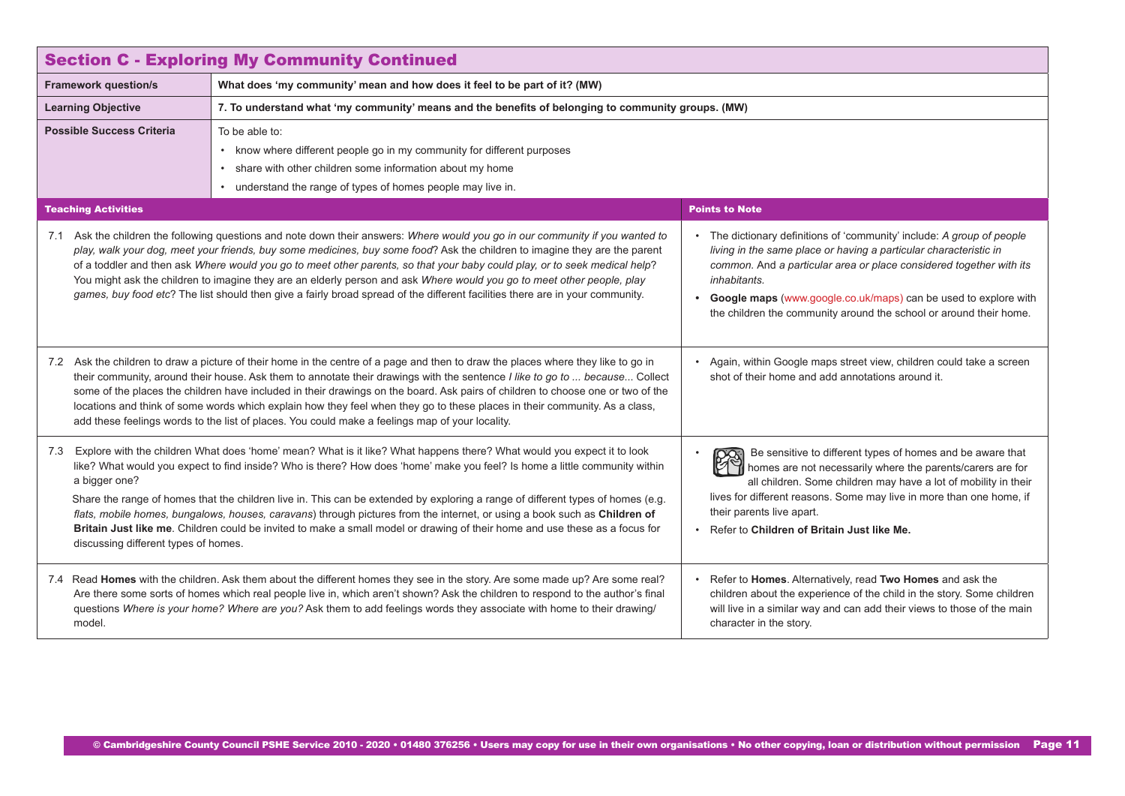<span id="page-10-0"></span>

| <b>Section C - Exploring My Community Continued</b>                                                                                                                                                                                                                                                                                                                                                                                                                                                                                                                                                                                                                                       |                                                                                                                                                                                                                                                                                                                                                                                                                                                                                                                                                                                                                                                       |                                                                                                                                                                                                                                                                                                                                                                               |
|-------------------------------------------------------------------------------------------------------------------------------------------------------------------------------------------------------------------------------------------------------------------------------------------------------------------------------------------------------------------------------------------------------------------------------------------------------------------------------------------------------------------------------------------------------------------------------------------------------------------------------------------------------------------------------------------|-------------------------------------------------------------------------------------------------------------------------------------------------------------------------------------------------------------------------------------------------------------------------------------------------------------------------------------------------------------------------------------------------------------------------------------------------------------------------------------------------------------------------------------------------------------------------------------------------------------------------------------------------------|-------------------------------------------------------------------------------------------------------------------------------------------------------------------------------------------------------------------------------------------------------------------------------------------------------------------------------------------------------------------------------|
| <b>Framework question/s</b>                                                                                                                                                                                                                                                                                                                                                                                                                                                                                                                                                                                                                                                               | What does 'my community' mean and how does it feel to be part of it? (MW)                                                                                                                                                                                                                                                                                                                                                                                                                                                                                                                                                                             |                                                                                                                                                                                                                                                                                                                                                                               |
| <b>Learning Objective</b>                                                                                                                                                                                                                                                                                                                                                                                                                                                                                                                                                                                                                                                                 | 7. To understand what 'my community' means and the benefits of belonging to community groups. (MW)                                                                                                                                                                                                                                                                                                                                                                                                                                                                                                                                                    |                                                                                                                                                                                                                                                                                                                                                                               |
| <b>Possible Success Criteria</b>                                                                                                                                                                                                                                                                                                                                                                                                                                                                                                                                                                                                                                                          | To be able to:<br>• know where different people go in my community for different purposes<br>share with other children some information about my home<br>$\bullet$<br>understand the range of types of homes people may live in.                                                                                                                                                                                                                                                                                                                                                                                                                      |                                                                                                                                                                                                                                                                                                                                                                               |
| <b>Teaching Activities</b>                                                                                                                                                                                                                                                                                                                                                                                                                                                                                                                                                                                                                                                                |                                                                                                                                                                                                                                                                                                                                                                                                                                                                                                                                                                                                                                                       | <b>Points to Note</b>                                                                                                                                                                                                                                                                                                                                                         |
|                                                                                                                                                                                                                                                                                                                                                                                                                                                                                                                                                                                                                                                                                           | 7.1 Ask the children the following questions and note down their answers: Where would you go in our community if you wanted to<br>play, walk your dog, meet your friends, buy some medicines, buy some food? Ask the children to imagine they are the parent<br>of a toddler and then ask Where would you go to meet other parents, so that your baby could play, or to seek medical help?<br>You might ask the children to imagine they are an elderly person and ask Where would you go to meet other people, play<br>games, buy food etc? The list should then give a fairly broad spread of the different facilities there are in your community. | • The dictionary definitions of 'community' include: A group of people<br>living in the same place or having a particular characteristic in<br>common. And a particular area or place considered together with its<br>inhabitants.<br>• Google maps (www.google.co.uk/maps) can be used to explore with<br>the children the community around the school or around their home. |
| 7.2 Ask the children to draw a picture of their home in the centre of a page and then to draw the places where they like to go in<br>their community, around their house. Ask them to annotate their drawings with the sentence I like to go to  because Collect<br>shot of their home and add annotations around it.<br>some of the places the children have included in their drawings on the board. Ask pairs of children to choose one or two of the<br>locations and think of some words which explain how they feel when they go to these places in their community. As a class,<br>add these feelings words to the list of places. You could make a feelings map of your locality. |                                                                                                                                                                                                                                                                                                                                                                                                                                                                                                                                                                                                                                                       | • Again, within Google maps street view, children could take a screen                                                                                                                                                                                                                                                                                                         |
| 7.3<br>a bigger one?<br>discussing different types of homes.                                                                                                                                                                                                                                                                                                                                                                                                                                                                                                                                                                                                                              | Explore with the children What does 'home' mean? What is it like? What happens there? What would you expect it to look<br>like? What would you expect to find inside? Who is there? How does 'home' make you feel? Is home a little community within<br>Share the range of homes that the children live in. This can be extended by exploring a range of different types of homes (e.g.<br>flats, mobile homes, bungalows, houses, caravans) through pictures from the internet, or using a book such as Children of<br>Britain Just like me. Children could be invited to make a small model or drawing of their home and use these as a focus for   | Be sensitive to different types of homes and be aware that<br>28<br>homes are not necessarily where the parents/carers are for<br>all children. Some children may have a lot of mobility in their<br>lives for different reasons. Some may live in more than one home, if<br>their parents live apart.<br>• Refer to Children of Britain Just like Me.                        |
| model.                                                                                                                                                                                                                                                                                                                                                                                                                                                                                                                                                                                                                                                                                    | 7.4 Read Homes with the children. Ask them about the different homes they see in the story. Are some made up? Are some real?<br>Are there some sorts of homes which real people live in, which aren't shown? Ask the children to respond to the author's final<br>questions Where is your home? Where are you? Ask them to add feelings words they associate with home to their drawing/                                                                                                                                                                                                                                                              | • Refer to Homes. Alternatively, read Two Homes and ask the<br>children about the experience of the child in the story. Some children<br>will live in a similar way and can add their views to those of the main<br>character in the story.                                                                                                                                   |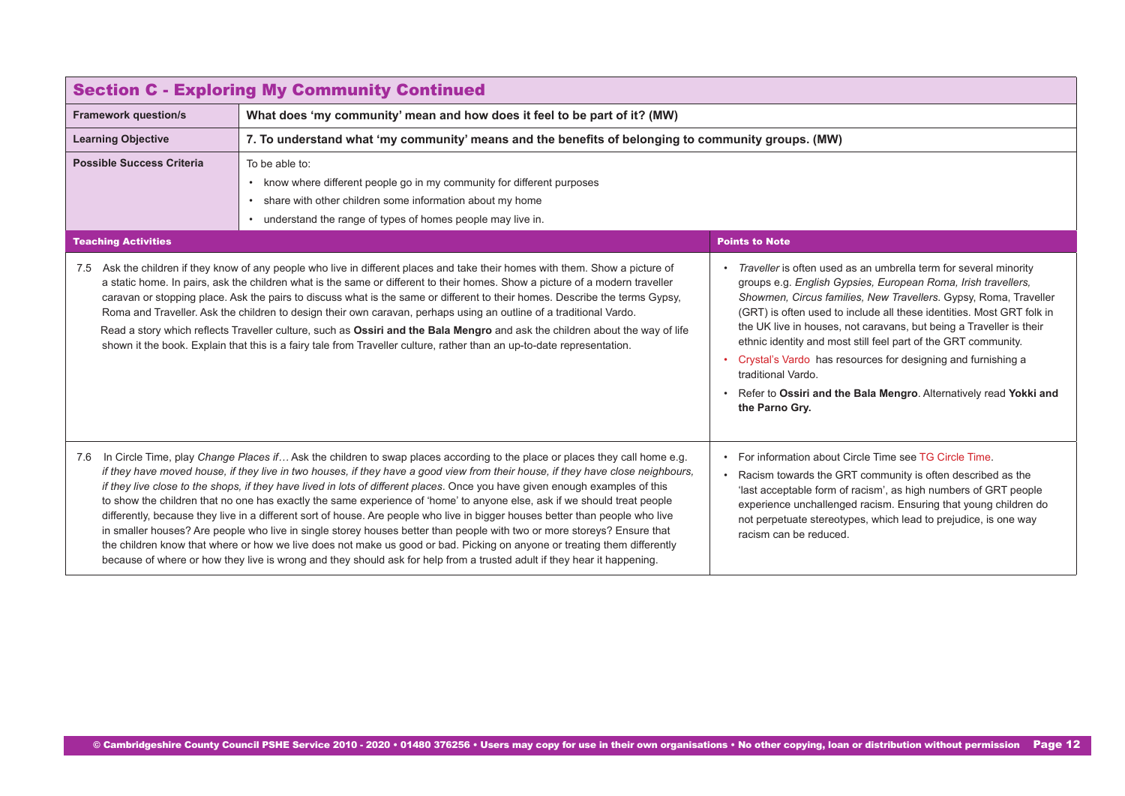| <b>Section C - Exploring My Community Continued</b> |                                                                                                                                                                                                                                                                                                                                                                                                                                                                                                                                                                                                                                                                                                                                                                                                                                                                                                                                                                                                                                              |                                                                                                                                                                                                                                                                                                                                                                                                                                                                                                                                                                                                        |
|-----------------------------------------------------|----------------------------------------------------------------------------------------------------------------------------------------------------------------------------------------------------------------------------------------------------------------------------------------------------------------------------------------------------------------------------------------------------------------------------------------------------------------------------------------------------------------------------------------------------------------------------------------------------------------------------------------------------------------------------------------------------------------------------------------------------------------------------------------------------------------------------------------------------------------------------------------------------------------------------------------------------------------------------------------------------------------------------------------------|--------------------------------------------------------------------------------------------------------------------------------------------------------------------------------------------------------------------------------------------------------------------------------------------------------------------------------------------------------------------------------------------------------------------------------------------------------------------------------------------------------------------------------------------------------------------------------------------------------|
| <b>Framework question/s</b>                         | What does 'my community' mean and how does it feel to be part of it? (MW)                                                                                                                                                                                                                                                                                                                                                                                                                                                                                                                                                                                                                                                                                                                                                                                                                                                                                                                                                                    |                                                                                                                                                                                                                                                                                                                                                                                                                                                                                                                                                                                                        |
| <b>Learning Objective</b>                           | 7. To understand what 'my community' means and the benefits of belonging to community groups. (MW)                                                                                                                                                                                                                                                                                                                                                                                                                                                                                                                                                                                                                                                                                                                                                                                                                                                                                                                                           |                                                                                                                                                                                                                                                                                                                                                                                                                                                                                                                                                                                                        |
| <b>Possible Success Criteria</b>                    | To be able to:<br>• know where different people go in my community for different purposes<br>• share with other children some information about my home<br>• understand the range of types of homes people may live in.                                                                                                                                                                                                                                                                                                                                                                                                                                                                                                                                                                                                                                                                                                                                                                                                                      |                                                                                                                                                                                                                                                                                                                                                                                                                                                                                                                                                                                                        |
| <b>Teaching Activities</b>                          |                                                                                                                                                                                                                                                                                                                                                                                                                                                                                                                                                                                                                                                                                                                                                                                                                                                                                                                                                                                                                                              | <b>Points to Note</b>                                                                                                                                                                                                                                                                                                                                                                                                                                                                                                                                                                                  |
|                                                     | 7.5 Ask the children if they know of any people who live in different places and take their homes with them. Show a picture of<br>a static home. In pairs, ask the children what is the same or different to their homes. Show a picture of a modern traveller<br>caravan or stopping place. Ask the pairs to discuss what is the same or different to their homes. Describe the terms Gypsy,<br>Roma and Traveller. Ask the children to design their own caravan, perhaps using an outline of a traditional Vardo.<br>Read a story which reflects Traveller culture, such as Ossiri and the Bala Mengro and ask the children about the way of life<br>shown it the book. Explain that this is a fairy tale from Traveller culture, rather than an up-to-date representation.                                                                                                                                                                                                                                                                | • Traveller is often used as an umbrella term for several minority<br>groups e.g. English Gypsies, European Roma, Irish travellers,<br>Showmen, Circus families, New Travellers. Gypsy, Roma, Traveller<br>(GRT) is often used to include all these identities. Most GRT folk in<br>the UK live in houses, not caravans, but being a Traveller is their<br>ethnic identity and most still feel part of the GRT community.<br>Crystal's Vardo has resources for designing and furnishing a<br>traditional Vardo.<br>Refer to Ossiri and the Bala Mengro. Alternatively read Yokki and<br>the Parno Gry. |
| 7.6                                                 | In Circle Time, play Change Places if Ask the children to swap places according to the place or places they call home e.g.<br>if they have moved house, if they live in two houses, if they have a good view from their house, if they have close neighbours,<br>if they live close to the shops, if they have lived in lots of different places. Once you have given enough examples of this<br>to show the children that no one has exactly the same experience of 'home' to anyone else, ask if we should treat people<br>differently, because they live in a different sort of house. Are people who live in bigger houses better than people who live<br>in smaller houses? Are people who live in single storey houses better than people with two or more storeys? Ensure that<br>the children know that where or how we live does not make us good or bad. Picking on anyone or treating them differently<br>because of where or how they live is wrong and they should ask for help from a trusted adult if they hear it happening. | • For information about Circle Time see TG Circle Time<br>Racism towards the GRT community is often described as the<br>'last acceptable form of racism', as high numbers of GRT people<br>experience unchallenged racism. Ensuring that young children do<br>not perpetuate stereotypes, which lead to prejudice, is one way<br>racism can be reduced.                                                                                                                                                                                                                                                |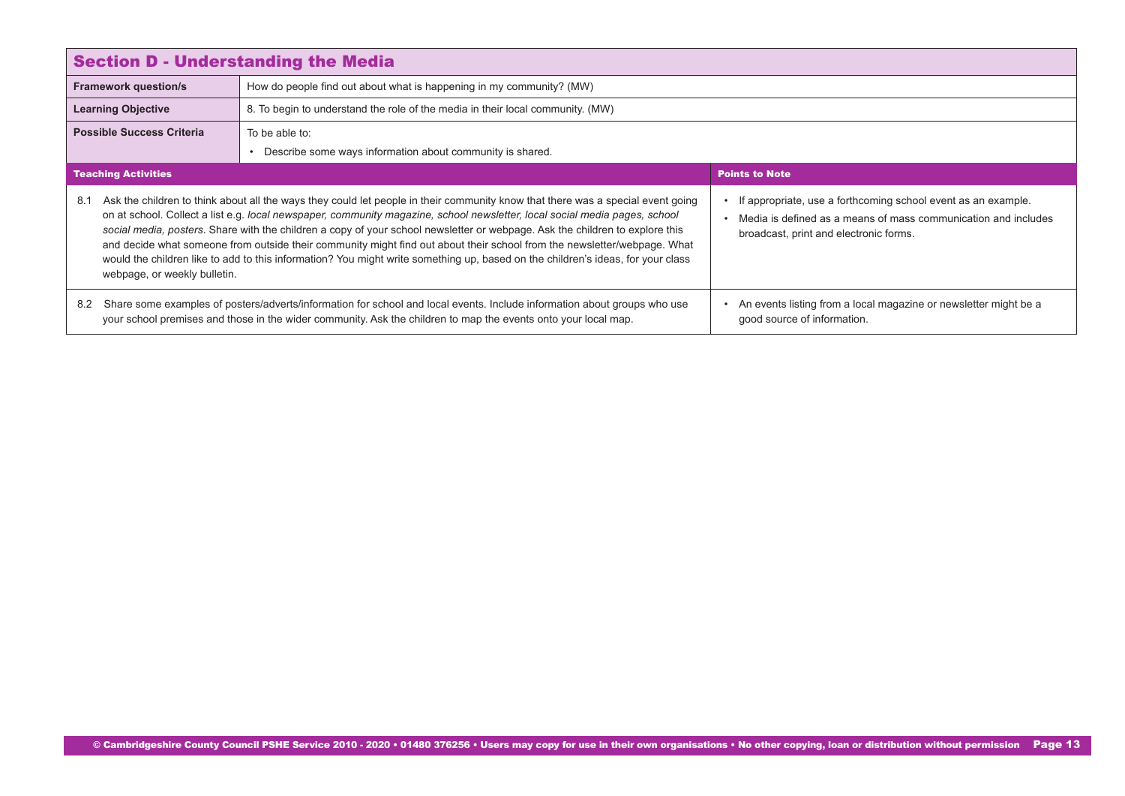<span id="page-12-0"></span>

| <b>Section D - Understanding the Media</b>                                                                                                                                                                                                        |                                                                                                                                                                                                                                                                                                                                                                                                                                                                                                                                                                                                                                                              |                                                                                                                                                                           |
|---------------------------------------------------------------------------------------------------------------------------------------------------------------------------------------------------------------------------------------------------|--------------------------------------------------------------------------------------------------------------------------------------------------------------------------------------------------------------------------------------------------------------------------------------------------------------------------------------------------------------------------------------------------------------------------------------------------------------------------------------------------------------------------------------------------------------------------------------------------------------------------------------------------------------|---------------------------------------------------------------------------------------------------------------------------------------------------------------------------|
| <b>Framework question/s</b>                                                                                                                                                                                                                       | How do people find out about what is happening in my community? (MW)                                                                                                                                                                                                                                                                                                                                                                                                                                                                                                                                                                                         |                                                                                                                                                                           |
| <b>Learning Objective</b>                                                                                                                                                                                                                         | 8. To begin to understand the role of the media in their local community. (MW)                                                                                                                                                                                                                                                                                                                                                                                                                                                                                                                                                                               |                                                                                                                                                                           |
| <b>Possible Success Criteria</b>                                                                                                                                                                                                                  | To be able to:                                                                                                                                                                                                                                                                                                                                                                                                                                                                                                                                                                                                                                               |                                                                                                                                                                           |
|                                                                                                                                                                                                                                                   | Describe some ways information about community is shared.<br>$\bullet$                                                                                                                                                                                                                                                                                                                                                                                                                                                                                                                                                                                       |                                                                                                                                                                           |
| <b>Points to Note</b><br><b>Teaching Activities</b>                                                                                                                                                                                               |                                                                                                                                                                                                                                                                                                                                                                                                                                                                                                                                                                                                                                                              |                                                                                                                                                                           |
| -8.1<br>webpage, or weekly bulletin.                                                                                                                                                                                                              | Ask the children to think about all the ways they could let people in their community know that there was a special event going<br>on at school. Collect a list e.g. local newspaper, community magazine, school newsletter, local social media pages, school<br>social media, posters. Share with the children a copy of your school newsletter or webpage. Ask the children to explore this<br>and decide what someone from outside their community might find out about their school from the newsletter/webpage. What<br>would the children like to add to this information? You might write something up, based on the children's ideas, for your class | If appropriate, use a forthcoming school event as an example.<br>Media is defined as a means of mass communication and includes<br>broadcast, print and electronic forms. |
| Share some examples of posters/adverts/information for school and local events. Include information about groups who use<br>8.2<br>your school premises and those in the wider community. Ask the children to map the events onto your local map. |                                                                                                                                                                                                                                                                                                                                                                                                                                                                                                                                                                                                                                                              | An events listing from a local magazine or newsletter might be a<br>good source of information.                                                                           |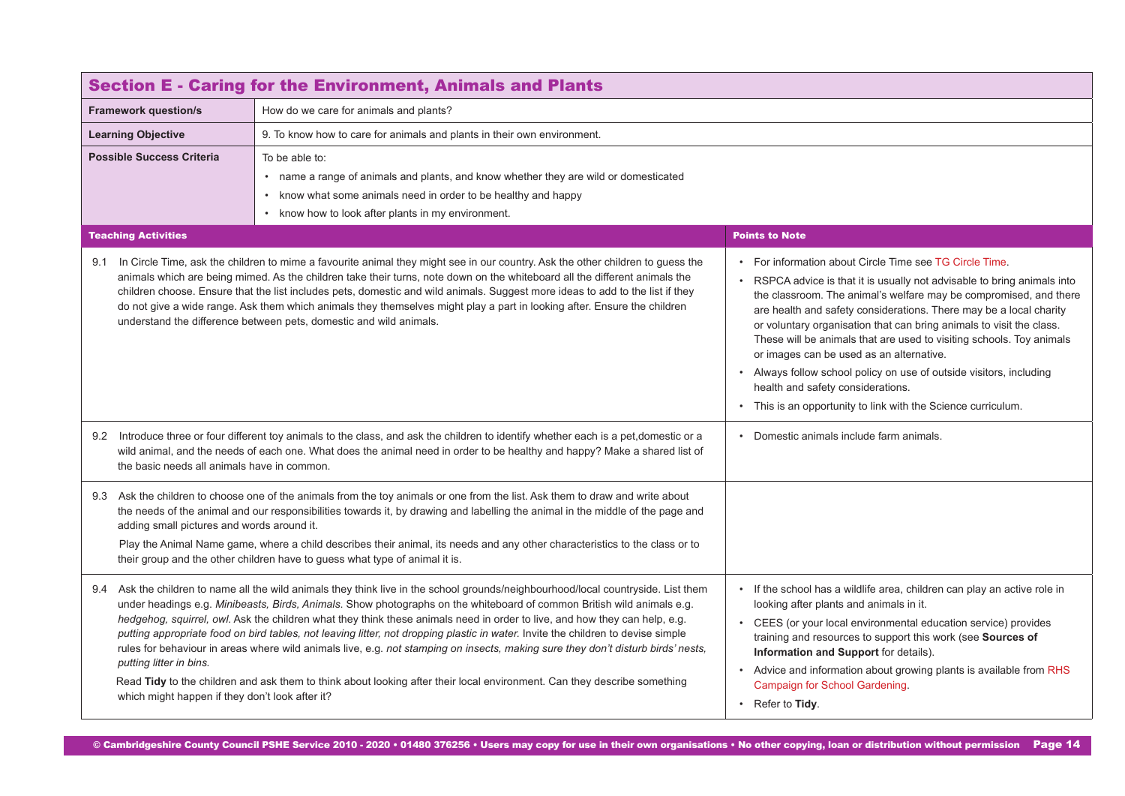<span id="page-13-0"></span>

| <b>Section E - Caring for the Environment, Animals and Plants</b>                                                                                                                                                                                                                                                                                                                                                                                                                                                              |                                                                                                                                                                                                                                                                                                                                                                                                                                                                                                                                                                                                                                                                                                                                                                                                |                                                                                                                                                                                                                                                                                                                                                                                                                                                                                                                                                                                                                                                       |
|--------------------------------------------------------------------------------------------------------------------------------------------------------------------------------------------------------------------------------------------------------------------------------------------------------------------------------------------------------------------------------------------------------------------------------------------------------------------------------------------------------------------------------|------------------------------------------------------------------------------------------------------------------------------------------------------------------------------------------------------------------------------------------------------------------------------------------------------------------------------------------------------------------------------------------------------------------------------------------------------------------------------------------------------------------------------------------------------------------------------------------------------------------------------------------------------------------------------------------------------------------------------------------------------------------------------------------------|-------------------------------------------------------------------------------------------------------------------------------------------------------------------------------------------------------------------------------------------------------------------------------------------------------------------------------------------------------------------------------------------------------------------------------------------------------------------------------------------------------------------------------------------------------------------------------------------------------------------------------------------------------|
| <b>Framework question/s</b>                                                                                                                                                                                                                                                                                                                                                                                                                                                                                                    | How do we care for animals and plants?                                                                                                                                                                                                                                                                                                                                                                                                                                                                                                                                                                                                                                                                                                                                                         |                                                                                                                                                                                                                                                                                                                                                                                                                                                                                                                                                                                                                                                       |
| <b>Learning Objective</b>                                                                                                                                                                                                                                                                                                                                                                                                                                                                                                      | 9. To know how to care for animals and plants in their own environment.                                                                                                                                                                                                                                                                                                                                                                                                                                                                                                                                                                                                                                                                                                                        |                                                                                                                                                                                                                                                                                                                                                                                                                                                                                                                                                                                                                                                       |
| <b>Possible Success Criteria</b>                                                                                                                                                                                                                                                                                                                                                                                                                                                                                               | To be able to:<br>• name a range of animals and plants, and know whether they are wild or domesticated<br>• know what some animals need in order to be healthy and happy<br>know how to look after plants in my environment.                                                                                                                                                                                                                                                                                                                                                                                                                                                                                                                                                                   |                                                                                                                                                                                                                                                                                                                                                                                                                                                                                                                                                                                                                                                       |
| <b>Teaching Activities</b>                                                                                                                                                                                                                                                                                                                                                                                                                                                                                                     |                                                                                                                                                                                                                                                                                                                                                                                                                                                                                                                                                                                                                                                                                                                                                                                                | <b>Points to Note</b>                                                                                                                                                                                                                                                                                                                                                                                                                                                                                                                                                                                                                                 |
| 9.1                                                                                                                                                                                                                                                                                                                                                                                                                                                                                                                            | In Circle Time, ask the children to mime a favourite animal they might see in our country. Ask the other children to guess the<br>animals which are being mimed. As the children take their turns, note down on the whiteboard all the different animals the<br>children choose. Ensure that the list includes pets, domestic and wild animals. Suggest more ideas to add to the list if they<br>do not give a wide range. Ask them which animals they themselves might play a part in looking after. Ensure the children<br>understand the difference between pets, domestic and wild animals.                                                                                                                                                                                                | • For information about Circle Time see TG Circle Time.<br>• RSPCA advice is that it is usually not advisable to bring animals into<br>the classroom. The animal's welfare may be compromised, and there<br>are health and safety considerations. There may be a local charity<br>or voluntary organisation that can bring animals to visit the class.<br>These will be animals that are used to visiting schools. Toy animals<br>or images can be used as an alternative.<br>Always follow school policy on use of outside visitors, including<br>health and safety considerations.<br>• This is an opportunity to link with the Science curriculum. |
| 9.2 Introduce three or four different toy animals to the class, and ask the children to identify whether each is a pet, domestic or a<br>wild animal, and the needs of each one. What does the animal need in order to be healthy and happy? Make a shared list of<br>the basic needs all animals have in common.                                                                                                                                                                                                              |                                                                                                                                                                                                                                                                                                                                                                                                                                                                                                                                                                                                                                                                                                                                                                                                | • Domestic animals include farm animals.                                                                                                                                                                                                                                                                                                                                                                                                                                                                                                                                                                                                              |
| Ask the children to choose one of the animals from the toy animals or one from the list. Ask them to draw and write about<br>9.3<br>the needs of the animal and our responsibilities towards it, by drawing and labelling the animal in the middle of the page and<br>adding small pictures and words around it.<br>Play the Animal Name game, where a child describes their animal, its needs and any other characteristics to the class or to<br>their group and the other children have to guess what type of animal it is. |                                                                                                                                                                                                                                                                                                                                                                                                                                                                                                                                                                                                                                                                                                                                                                                                |                                                                                                                                                                                                                                                                                                                                                                                                                                                                                                                                                                                                                                                       |
| putting litter in bins.<br>which might happen if they don't look after it?                                                                                                                                                                                                                                                                                                                                                                                                                                                     | 9.4 Ask the children to name all the wild animals they think live in the school grounds/neighbourhood/local countryside. List them<br>under headings e.g. Minibeasts, Birds, Animals. Show photographs on the whiteboard of common British wild animals e.g.<br>hedgehog, squirrel, owl. Ask the children what they think these animals need in order to live, and how they can help, e.g.<br>putting appropriate food on bird tables, not leaving litter, not dropping plastic in water. Invite the children to devise simple<br>rules for behaviour in areas where wild animals live, e.g. not stamping on insects, making sure they don't disturb birds' nests,<br>Read Tidy to the children and ask them to think about looking after their local environment. Can they describe something | • If the school has a wildlife area, children can play an active role in<br>looking after plants and animals in it.<br>• CEES (or your local environmental education service) provides<br>training and resources to support this work (see Sources of<br>Information and Support for details).<br>• Advice and information about growing plants is available from RHS<br>Campaign for School Gardening.<br>• Refer to Tidy.                                                                                                                                                                                                                           |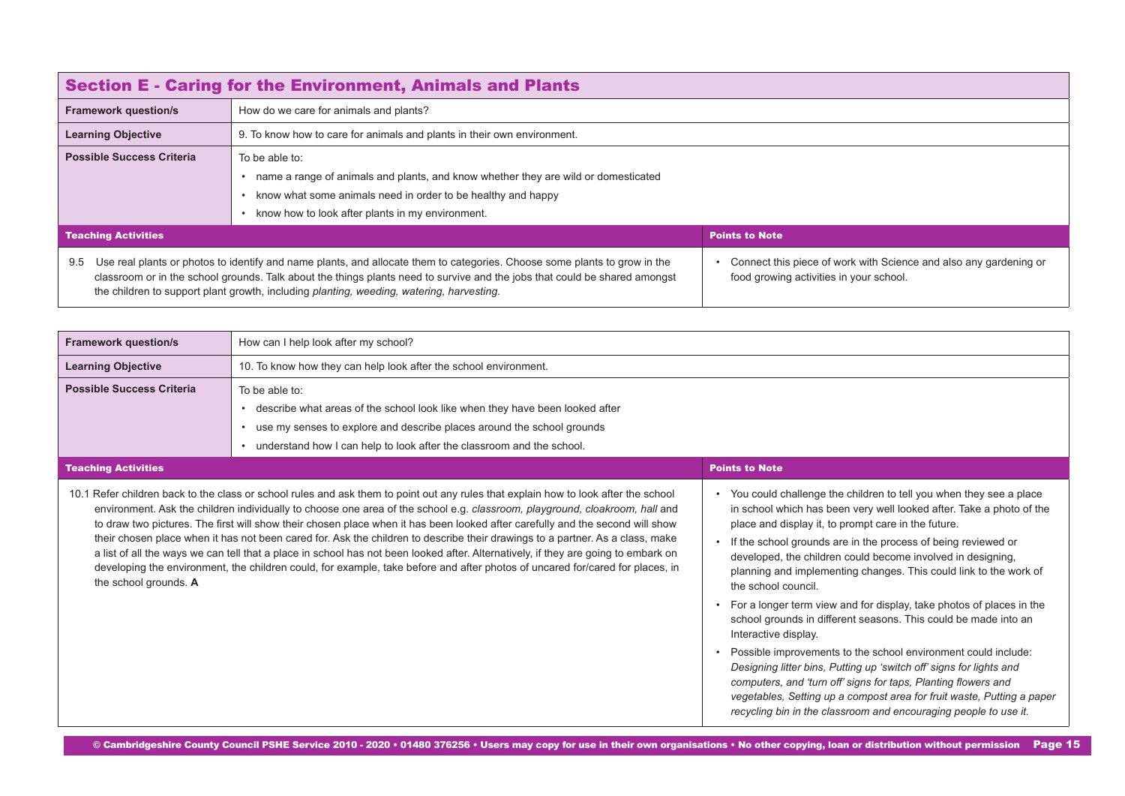<span id="page-14-0"></span>

| <b>Section E - Caring for the Environment, Animals and Plants</b> |                                                                                                                                                                                                                                                                                                                                                     |                                                                                                              |
|-------------------------------------------------------------------|-----------------------------------------------------------------------------------------------------------------------------------------------------------------------------------------------------------------------------------------------------------------------------------------------------------------------------------------------------|--------------------------------------------------------------------------------------------------------------|
| <b>Framework question/s</b>                                       | How do we care for animals and plants?                                                                                                                                                                                                                                                                                                              |                                                                                                              |
| <b>Learning Objective</b>                                         | 9. To know how to care for animals and plants in their own environment.                                                                                                                                                                                                                                                                             |                                                                                                              |
| <b>Possible Success Criteria</b>                                  | To be able to:<br>name a range of animals and plants, and know whether they are wild or domesticated<br>know what some animals need in order to be healthy and happy<br>know how to look after plants in my environment.<br>$\bullet$                                                                                                               |                                                                                                              |
| <b>Teaching Activities</b>                                        |                                                                                                                                                                                                                                                                                                                                                     | <b>Points to Note</b>                                                                                        |
| 9.5                                                               | Use real plants or photos to identify and name plants, and allocate them to categories. Choose some plants to grow in the<br>classroom or in the school grounds. Talk about the things plants need to survive and the jobs that could be shared amongst<br>the children to support plant growth, including planting, weeding, watering, harvesting. | Connect this piece of work with Science and also any gardening or<br>food growing activities in your school. |

| <b>Framework question/s</b>      | How can I help look after my school?                                                                                                                                                                                                                                                                                                                                                                                                                                                                                                                                                                                                                                                                                                                                                                        |                                                                                                                                                                                                                                                                                                                                                                                                                                                                                                                                                                                                                                                                                                                                                                                                                                                                                                                                                             |
|----------------------------------|-------------------------------------------------------------------------------------------------------------------------------------------------------------------------------------------------------------------------------------------------------------------------------------------------------------------------------------------------------------------------------------------------------------------------------------------------------------------------------------------------------------------------------------------------------------------------------------------------------------------------------------------------------------------------------------------------------------------------------------------------------------------------------------------------------------|-------------------------------------------------------------------------------------------------------------------------------------------------------------------------------------------------------------------------------------------------------------------------------------------------------------------------------------------------------------------------------------------------------------------------------------------------------------------------------------------------------------------------------------------------------------------------------------------------------------------------------------------------------------------------------------------------------------------------------------------------------------------------------------------------------------------------------------------------------------------------------------------------------------------------------------------------------------|
| <b>Learning Objective</b>        | 10. To know how they can help look after the school environment.                                                                                                                                                                                                                                                                                                                                                                                                                                                                                                                                                                                                                                                                                                                                            |                                                                                                                                                                                                                                                                                                                                                                                                                                                                                                                                                                                                                                                                                                                                                                                                                                                                                                                                                             |
| <b>Possible Success Criteria</b> | To be able to:<br>• describe what areas of the school look like when they have been looked after<br>• use my senses to explore and describe places around the school grounds<br>• understand how I can help to look after the classroom and the school.                                                                                                                                                                                                                                                                                                                                                                                                                                                                                                                                                     |                                                                                                                                                                                                                                                                                                                                                                                                                                                                                                                                                                                                                                                                                                                                                                                                                                                                                                                                                             |
| <b>Teaching Activities</b>       |                                                                                                                                                                                                                                                                                                                                                                                                                                                                                                                                                                                                                                                                                                                                                                                                             | <b>Points to Note</b>                                                                                                                                                                                                                                                                                                                                                                                                                                                                                                                                                                                                                                                                                                                                                                                                                                                                                                                                       |
| the school grounds. A            | 10.1 Refer children back to the class or school rules and ask them to point out any rules that explain how to look after the school<br>environment. Ask the children individually to choose one area of the school e.g. classroom, playground, cloakroom, hall and<br>to draw two pictures. The first will show their chosen place when it has been looked after carefully and the second will show<br>their chosen place when it has not been cared for. Ask the children to describe their drawings to a partner. As a class, make<br>a list of all the ways we can tell that a place in school has not been looked after. Alternatively, if they are going to embark on<br>developing the environment, the children could, for example, take before and after photos of uncared for/cared for places, in | • You could challenge the children to tell you when they see a place<br>in school which has been very well looked after. Take a photo of the<br>place and display it, to prompt care in the future.<br>If the school grounds are in the process of being reviewed or<br>developed, the children could become involved in designing,<br>planning and implementing changes. This could link to the work of<br>the school council.<br>For a longer term view and for display, take photos of places in the<br>school grounds in different seasons. This could be made into an<br>Interactive display.<br>Possible improvements to the school environment could include:<br>Designing litter bins, Putting up 'switch off' signs for lights and<br>computers, and 'turn off' signs for taps, Planting flowers and<br>vegetables, Setting up a compost area for fruit waste, Putting a paper<br>recycling bin in the classroom and encouraging people to use it. |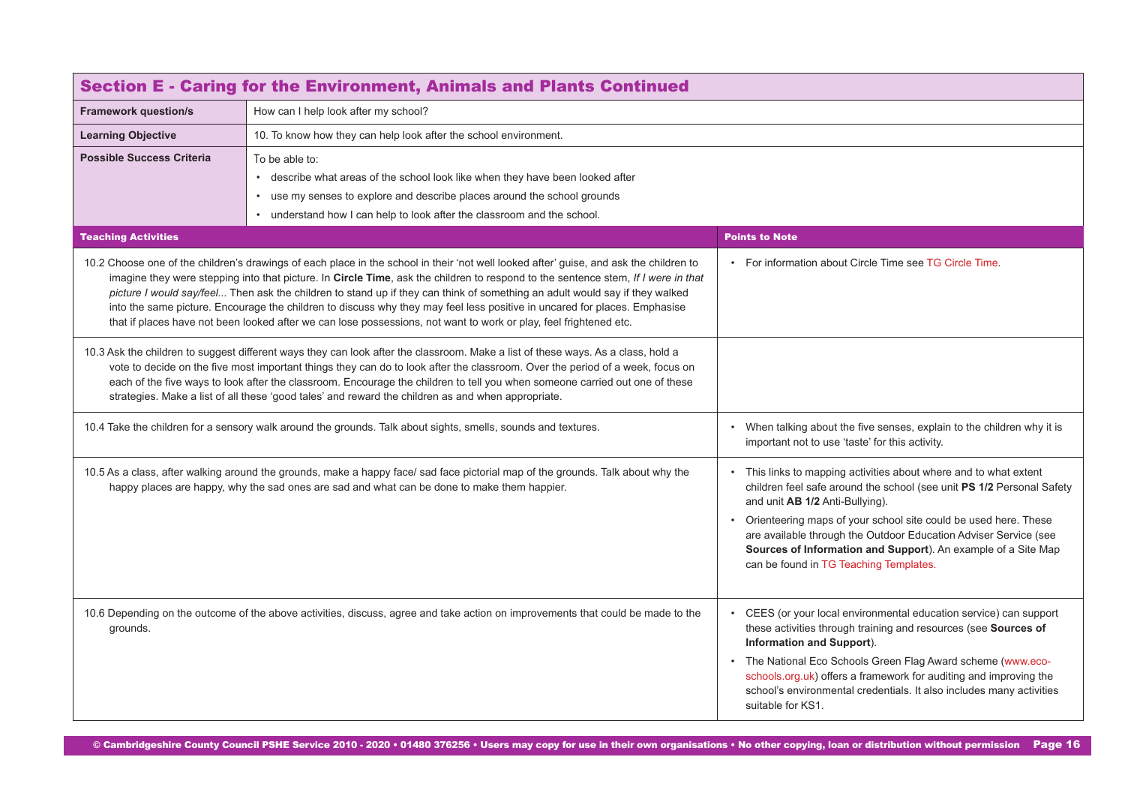| <b>Section E - Caring for the Environment, Animals and Plants Continued</b>                                                                                                                                                                                                                                                                                                                                                                                                                                                                                                                                                                                  |                                                                                                                                 |                                                                                                                                                                                                                                                                                                                                                                                                    |  |  |  |  |
|--------------------------------------------------------------------------------------------------------------------------------------------------------------------------------------------------------------------------------------------------------------------------------------------------------------------------------------------------------------------------------------------------------------------------------------------------------------------------------------------------------------------------------------------------------------------------------------------------------------------------------------------------------------|---------------------------------------------------------------------------------------------------------------------------------|----------------------------------------------------------------------------------------------------------------------------------------------------------------------------------------------------------------------------------------------------------------------------------------------------------------------------------------------------------------------------------------------------|--|--|--|--|
| <b>Framework question/s</b>                                                                                                                                                                                                                                                                                                                                                                                                                                                                                                                                                                                                                                  | How can I help look after my school?                                                                                            |                                                                                                                                                                                                                                                                                                                                                                                                    |  |  |  |  |
| <b>Learning Objective</b>                                                                                                                                                                                                                                                                                                                                                                                                                                                                                                                                                                                                                                    | 10. To know how they can help look after the school environment.                                                                |                                                                                                                                                                                                                                                                                                                                                                                                    |  |  |  |  |
| <b>Possible Success Criteria</b>                                                                                                                                                                                                                                                                                                                                                                                                                                                                                                                                                                                                                             | To be able to:                                                                                                                  |                                                                                                                                                                                                                                                                                                                                                                                                    |  |  |  |  |
|                                                                                                                                                                                                                                                                                                                                                                                                                                                                                                                                                                                                                                                              | • describe what areas of the school look like when they have been looked after                                                  |                                                                                                                                                                                                                                                                                                                                                                                                    |  |  |  |  |
|                                                                                                                                                                                                                                                                                                                                                                                                                                                                                                                                                                                                                                                              | • use my senses to explore and describe places around the school grounds                                                        |                                                                                                                                                                                                                                                                                                                                                                                                    |  |  |  |  |
|                                                                                                                                                                                                                                                                                                                                                                                                                                                                                                                                                                                                                                                              | • understand how I can help to look after the classroom and the school.                                                         |                                                                                                                                                                                                                                                                                                                                                                                                    |  |  |  |  |
| <b>Teaching Activities</b>                                                                                                                                                                                                                                                                                                                                                                                                                                                                                                                                                                                                                                   |                                                                                                                                 | <b>Points to Note</b>                                                                                                                                                                                                                                                                                                                                                                              |  |  |  |  |
| 10.2 Choose one of the children's drawings of each place in the school in their 'not well looked after' guise, and ask the children to<br>imagine they were stepping into that picture. In Circle Time, ask the children to respond to the sentence stem, If I were in that<br>picture I would say/feel Then ask the children to stand up if they can think of something an adult would say if they walked<br>into the same picture. Encourage the children to discuss why they may feel less positive in uncared for places. Emphasise<br>that if places have not been looked after we can lose possessions, not want to work or play, feel frightened etc. |                                                                                                                                 | • For information about Circle Time see TG Circle Time.                                                                                                                                                                                                                                                                                                                                            |  |  |  |  |
| 10.3 Ask the children to suggest different ways they can look after the classroom. Make a list of these ways. As a class, hold a<br>vote to decide on the five most important things they can do to look after the classroom. Over the period of a week, focus on<br>each of the five ways to look after the classroom. Encourage the children to tell you when someone carried out one of these<br>strategies. Make a list of all these 'good tales' and reward the children as and when appropriate.                                                                                                                                                       |                                                                                                                                 |                                                                                                                                                                                                                                                                                                                                                                                                    |  |  |  |  |
| 10.4 Take the children for a sensory walk around the grounds. Talk about sights, smells, sounds and textures.                                                                                                                                                                                                                                                                                                                                                                                                                                                                                                                                                |                                                                                                                                 | When talking about the five senses, explain to the children why it is<br>important not to use 'taste' for this activity.                                                                                                                                                                                                                                                                           |  |  |  |  |
| 10.5 As a class, after walking around the grounds, make a happy face/ sad face pictorial map of the grounds. Talk about why the<br>happy places are happy, why the sad ones are sad and what can be done to make them happier.                                                                                                                                                                                                                                                                                                                                                                                                                               |                                                                                                                                 | This links to mapping activities about where and to what extent<br>children feel safe around the school (see unit PS 1/2 Personal Safety<br>and unit AB 1/2 Anti-Bullying).                                                                                                                                                                                                                        |  |  |  |  |
|                                                                                                                                                                                                                                                                                                                                                                                                                                                                                                                                                                                                                                                              |                                                                                                                                 | Orienteering maps of your school site could be used here. These<br>are available through the Outdoor Education Adviser Service (see<br>Sources of Information and Support). An example of a Site Map<br>can be found in TG Teaching Templates.                                                                                                                                                     |  |  |  |  |
| grounds.                                                                                                                                                                                                                                                                                                                                                                                                                                                                                                                                                                                                                                                     | 10.6 Depending on the outcome of the above activities, discuss, agree and take action on improvements that could be made to the | • CEES (or your local environmental education service) can support<br>these activities through training and resources (see Sources of<br>Information and Support).<br>The National Eco Schools Green Flag Award scheme (www.eco-<br>schools.org.uk) offers a framework for auditing and improving the<br>school's environmental credentials. It also includes many activities<br>suitable for KS1. |  |  |  |  |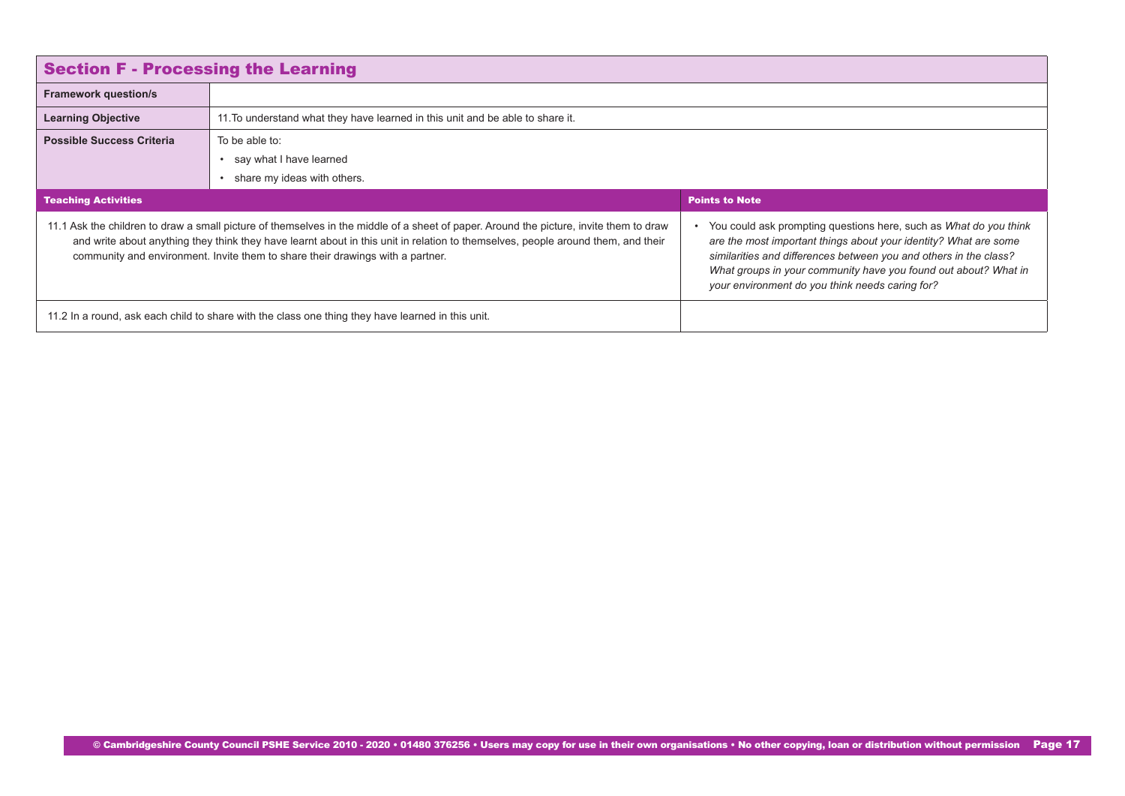<span id="page-16-0"></span>

| <b>Section F - Processing the Learning</b>                                                                                                                                                                                                                                                                                                                   |                                                                                |                                                                                                                                                                                                                                                                                                                                    |  |  |  |
|--------------------------------------------------------------------------------------------------------------------------------------------------------------------------------------------------------------------------------------------------------------------------------------------------------------------------------------------------------------|--------------------------------------------------------------------------------|------------------------------------------------------------------------------------------------------------------------------------------------------------------------------------------------------------------------------------------------------------------------------------------------------------------------------------|--|--|--|
| <b>Framework question/s</b>                                                                                                                                                                                                                                                                                                                                  |                                                                                |                                                                                                                                                                                                                                                                                                                                    |  |  |  |
| <b>Learning Objective</b>                                                                                                                                                                                                                                                                                                                                    | 11. To understand what they have learned in this unit and be able to share it. |                                                                                                                                                                                                                                                                                                                                    |  |  |  |
| <b>Possible Success Criteria</b>                                                                                                                                                                                                                                                                                                                             | To be able to:                                                                 |                                                                                                                                                                                                                                                                                                                                    |  |  |  |
|                                                                                                                                                                                                                                                                                                                                                              | • say what I have learned                                                      |                                                                                                                                                                                                                                                                                                                                    |  |  |  |
|                                                                                                                                                                                                                                                                                                                                                              | share my ideas with others.                                                    |                                                                                                                                                                                                                                                                                                                                    |  |  |  |
| <b>Teaching Activities</b>                                                                                                                                                                                                                                                                                                                                   |                                                                                | <b>Points to Note</b>                                                                                                                                                                                                                                                                                                              |  |  |  |
| 11.1 Ask the children to draw a small picture of themselves in the middle of a sheet of paper. Around the picture, invite them to draw<br>and write about anything they think they have learnt about in this unit in relation to themselves, people around them, and their<br>community and environment. Invite them to share their drawings with a partner. |                                                                                | • You could ask prompting questions here, such as What do you think<br>are the most important things about your identity? What are some<br>similarities and differences between you and others in the class?<br>What groups in your community have you found out about? What in<br>your environment do you think needs caring for? |  |  |  |
| 11.2 In a round, ask each child to share with the class one thing they have learned in this unit.                                                                                                                                                                                                                                                            |                                                                                |                                                                                                                                                                                                                                                                                                                                    |  |  |  |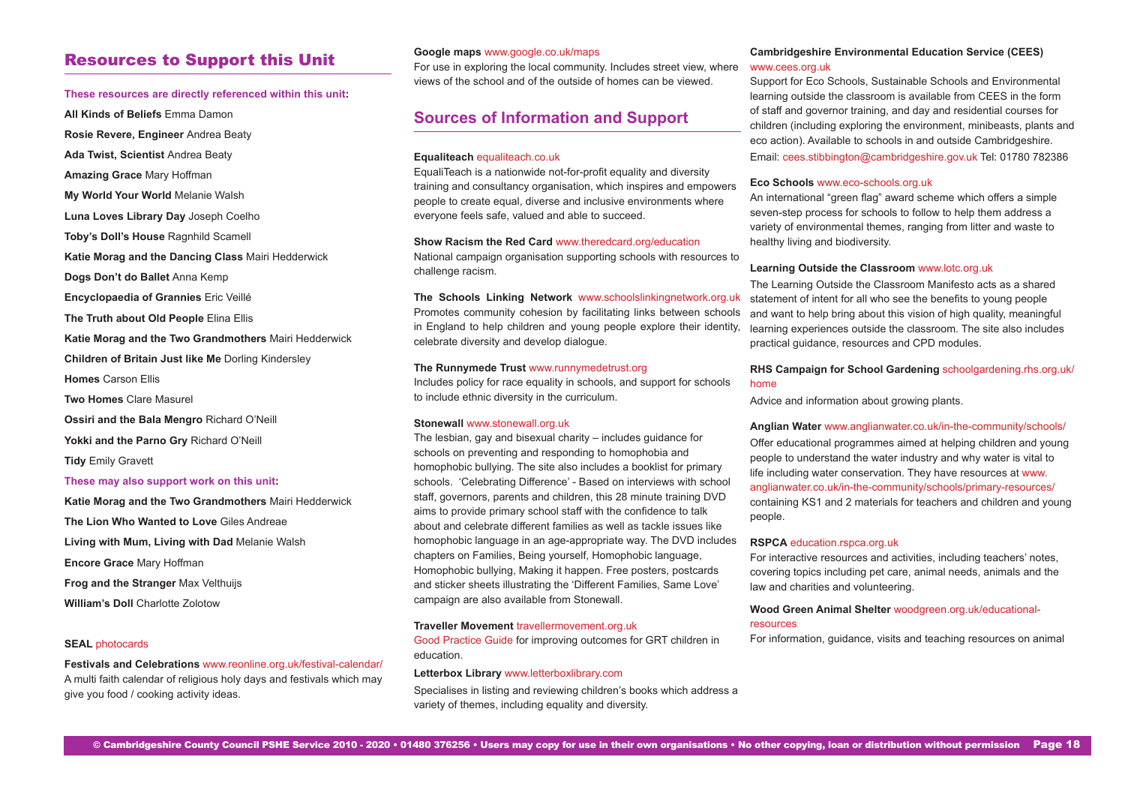## Resources to Support this Unit

#### **These resources are directly referenced within this unit:**

**All Kinds of Beliefs** Emma Damon

**Rosie Revere, Engineer** Andrea Beaty

**Ada Twist, Scientist** Andrea Beaty

**Amazing Grace** Mary Hoffman

**My World Your World** Melanie Walsh

**Luna Loves Library Day** Joseph Coelho

**Toby's Doll's House** Ragnhild Scamell

**Katie Morag and the Dancing Class** Mairi Hedderwick

**Dogs Don't do Ballet** Anna Kemp

**Encyclopaedia of Grannies** Eric Veillé

**The Truth about Old People** Elina Ellis

**Katie Morag and the Two Grandmothers** Mairi Hedderwick **Children of Britain Just like Me** Dorling Kindersley **Homes** Carson Ellis

**Two Homes** Clare Masurel

**Ossiri and the Bala Mengro** Richard O'Neill

Yokki and the Parno Gry Richard O'Neill

**Tidy** Emily Gravett

#### **These may also support work on this unit:**

**Katie Morag and the Two Grandmothers** Mairi Hedderwick **The Lion Who Wanted to Love** Giles Andreae **Living with Mum, Living with Dad** Melanie Walsh **Encore Grace** Mary Hoffman **Frog and the Stranger** Max Velthuijs **William's Doll** Charlotte Zolotow

#### **SEAL** [photocards](https://drive.google.com/drive/folders/0B8aya-vDwpehLUJRQlBVbS02T0E?usp=sharing)

**Festivals and Celebrations** [www.reonline.org.uk/festival-calendar/](https://www.reonline.org.uk/festival-calendar/
) A multi faith calendar of religious holy days and festivals which may give you food / cooking activity ideas.

#### **Google maps** [www.google.co.uk/maps](http://www.google.co.uk/maps)

For use in exploring the local community. Includes street view, where views of the school and of the outside of homes can be viewed.

## **Sources of Information and Support**

#### **Equaliteach** [equaliteach.co.uk](http://equaliteach.co.uk)

EqualiTeach is a nationwide not-for-profit equality and diversity training and consultancy organisation, which inspires and empowers people to create equal, diverse and inclusive environments where everyone feels safe, valued and able to succeed.

#### **Show Racism the Red Card** [www.theredcard.org/education](https://www.theredcard.org/education)

National campaign organisation supporting schools with resources to challenge racism.

**The Schools Linking Network** [www.schoolslinkingnetwork.org.uk](http://www.schoolslinkingnetwork.org.uk) Promotes community cohesion by facilitating links between schools in England to help children and young people explore their identity, celebrate diversity and develop dialogue.

#### **The Runnymede Trust** [www.runnymedetrust.org](http://www.runnymedetrust.org)

Includes policy for race equality in schools, and support for schools to include ethnic diversity in the curriculum.

#### **Stonewall** [www.stonewall.org.uk](http://www.stonewall.org.uk)

The lesbian, gay and bisexual charity – includes guidance for schools on preventing and responding to homophobia and homophobic bullying. The site also includes a booklist for primary schools. 'Celebrating Difference' - Based on interviews with school staff, governors, parents and children, this 28 minute training DVD aims to provide primary school staff with the confidence to talk about and celebrate different families as well as tackle issues like homophobic language in an age-appropriate way. The DVD includes chapters on Families, Being yourself, Homophobic language, Homophobic bullying, Making it happen. Free posters, postcards and sticker sheets illustrating the 'Different Families, Same Love' campaign are also available from Stonewall.

#### **Traveller Movement** [travellermovement.org.uk](http://travellermovement.org.uk)

[Good Practice Guide](travellermovement.org.uk/phocadownload/TTM%20Good%20Practice%20Guide%20Education_web.pdf ) for improving outcomes for GRT children in education.

#### **Letterbox Library** [www.letterboxlibrary.com](http://www.letterboxlibrary.com)

Specialises in listing and reviewing children's books which address a variety of themes, including equality and diversity.

#### **Cambridgeshire Environmental Education Service (CEES)** [www.cees.org.uk](http://www.cees.org.uk)

Support for Eco Schools, Sustainable Schools and Environmental learning outside the classroom is available from CEES in the form of staff and governor training, and day and residential courses for children (including exploring the environment, minibeasts, plants and eco action). Available to schools in and outside Cambridgeshire. Email: [cees.stibbington@cambridgeshire.gov.uk](mailto:cees.stibbington%40cambridgeshire.gov.uk?subject=) Tel: 01780 782386

#### **Eco Schools** [www.eco-schools.org.uk](http://www.eco-schools.org.uk)

An international "green flag" award scheme which offers a simple seven-step process for schools to follow to help them address a variety of environmental themes, ranging from litter and waste to healthy living and biodiversity.

#### **Learning Outside the Classroom** [www.lotc.org.uk](http://www.lotc.org.uk)

The Learning Outside the Classroom Manifesto acts as a shared statement of intent for all who see the benefits to young people and want to help bring about this vision of high quality, meaningful learning experiences outside the classroom. The site also includes practical guidance, resources and CPD modules.

**RHS Campaign for School Gardening** [schoolgardening.rhs.org.uk/](https://schoolgardening.rhs.org.uk/home
) [home](https://schoolgardening.rhs.org.uk/home
)

Advice and information about growing plants.

#### **Anglian Water** [www.anglianwater.co.uk/in-the-community/schools/](https://www.anglianwater.co.uk/in-the-community/schools/
)

Offer educational programmes aimed at helping children and young people to understand the water industry and why water is vital to life including water conservation. They have resources at [www.](https://www.anglianwater.co.uk/in-the-community/schools/primary-resources/ ) [anglianwater.co.uk/in-the-community/schools/primary-resources/](https://www.anglianwater.co.uk/in-the-community/schools/primary-resources/ )  containing KS1 and 2 materials for teachers and children and young people.

#### **RSPCA** [education.rspca.org.uk](http://education.rspca.org.uk)

For interactive resources and activities, including teachers' notes, covering topics including pet care, animal needs, animals and the law and charities and volunteering.

#### **Wood Green Animal Shelter** [woodgreen.org.uk/educational](https://woodgreen.org.uk/educational-resources
)[resources](https://woodgreen.org.uk/educational-resources
)

For information, guidance, visits and teaching resources on animal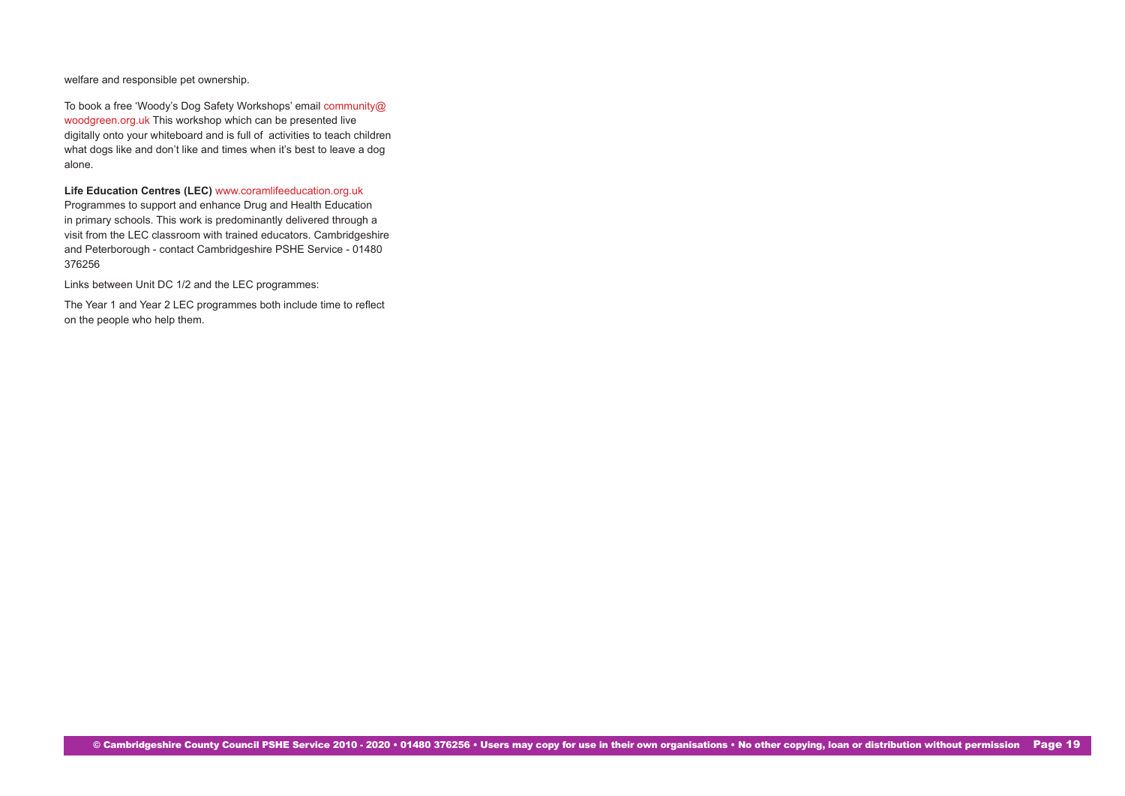welfare and responsible pet ownership.

To book a free 'Woody's Dog Safety Workshops' email [community@](mailto:community%40woodgreen.org.uk?subject=) [woodgreen.org.uk](mailto:community%40woodgreen.org.uk?subject=) This workshop which can be presented live digitally onto your whiteboard and is full of activities to teach children what dogs like and don't like and times when it's best to leave a dog alone.

**Life Education Centres (LEC)** [www.coramlifeeducation.org.uk](http://www.coramlifeeducation.org.uk)

Programmes to support and enhance Drug and Health Education in primary schools. This work is predominantly delivered through a visit from the LEC classroom with trained educators. Cambridgeshire and Peterborough - contact Cambridgeshire PSHE Service - 01480 376256

Links between Unit DC 1/2 and the LEC programmes:

The Year 1 and Year 2 LEC programmes both include time to reflect on the people who help them.